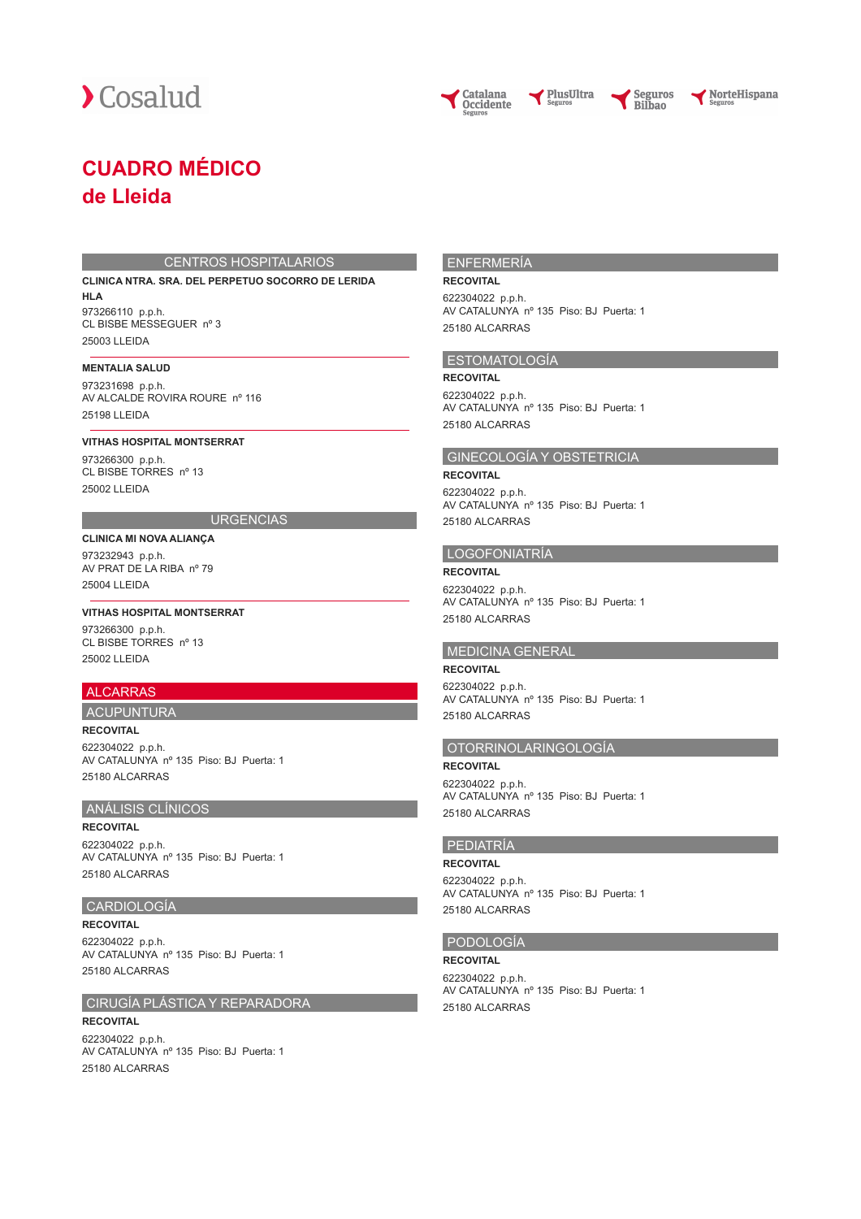





PlusUltra

NorteHispana

# **CUADRO MÉDICO de Lleida**

#### CENTROS HOSPITALARIOS

**CLINICA NTRA. SRA. DEL PERPETUO SOCORRO DE LERIDA HLA** 973266110 p.p.h. CL BISBE MESSEGUER nº 3 25003 LLEIDA

#### **MENTALIA SALUD**

973231698 p.p.h. AV ALCALDE ROVIRA ROURE nº 116 25198 LLEIDA

#### **VITHAS HOSPITAL MONTSERRAT**

973266300 p.p.h. CL BISBE TORRES nº 13 25002 LLEIDA

## **URGENCIAS**

**CLINICA MI NOVA ALIANÇA** 973232943 p.p.h. AV PRAT DE LA RIBA nº 79 25004 LLEIDA

**VITHAS HOSPITAL MONTSERRAT** 973266300 p.p.h. CL BISBE TORRES nº 13 25002 LLEIDA

## ALCARRAS

#### ACUPUNTURA **RECOVITAL**

622304022 p.p.h. AV CATALUNYA nº 135 Piso: BJ Puerta: 1 25180 ALCARRAS

## ANÁLISIS CLÍNICOS

**RECOVITAL**

622304022 p.p.h. AV CATALUNYA nº 135 Piso: BJ Puerta: 1 25180 ALCARRAS

#### CARDIOLOGÍA

**RECOVITAL** 622304022 p.p.h. AV CATALUNYA nº 135 Piso: BJ Puerta: 1 25180 ALCARRAS

#### CIRUGÍA PLÁSTICA Y REPARADORA

**RECOVITAL** 622304022 p.p.h. AV CATALUNYA nº 135 Piso: BJ Puerta: 1 25180 ALCARRAS

#### ENFERMERÍA

## **RECOVITAL**

622304022 p.p.h. AV CATALUNYA nº 135 Piso: BJ Puerta: 1 25180 ALCARRAS

#### ESTOMATOLOGÍA

**RECOVITAL** 622304022 p.p.h. AV CATALUNYA nº 135 Piso: BJ Puerta: 1 25180 ALCARRAS

## GINECOLOGÍA Y OBSTETRICIA

#### **RECOVITAL**

622304022 p.p.h. AV CATALUNYA nº 135 Piso: BJ Puerta: 1 25180 ALCARRAS

## LOGOFONIATRÍA

**RECOVITAL** 622304022 p.p.h. AV CATALUNYA nº 135 Piso: BJ Puerta: 1 25180 ALCARRAS

#### MEDICINA GENERAL

**RECOVITAL** 622304022 p.p.h. AV CATALUNYA nº 135 Piso: BJ Puerta: 1 25180 ALCARRAS

# OTORRINOLARINGOLOGÍA

**RECOVITAL** 622304022 p.p.h. AV CATALUNYA nº 135 Piso: BJ Puerta: 1 25180 ALCARRAS

## PEDIATRÍA

**RECOVITAL** 622304022 p.p.h. AV CATALUNYA nº 135 Piso: BJ Puerta: 1 25180 ALCARRAS

## PODOLOGÍA

**RECOVITAL** 622304022 p.p.h. AV CATALUNYA nº 135 Piso: BJ Puerta: 1 25180 ALCARRAS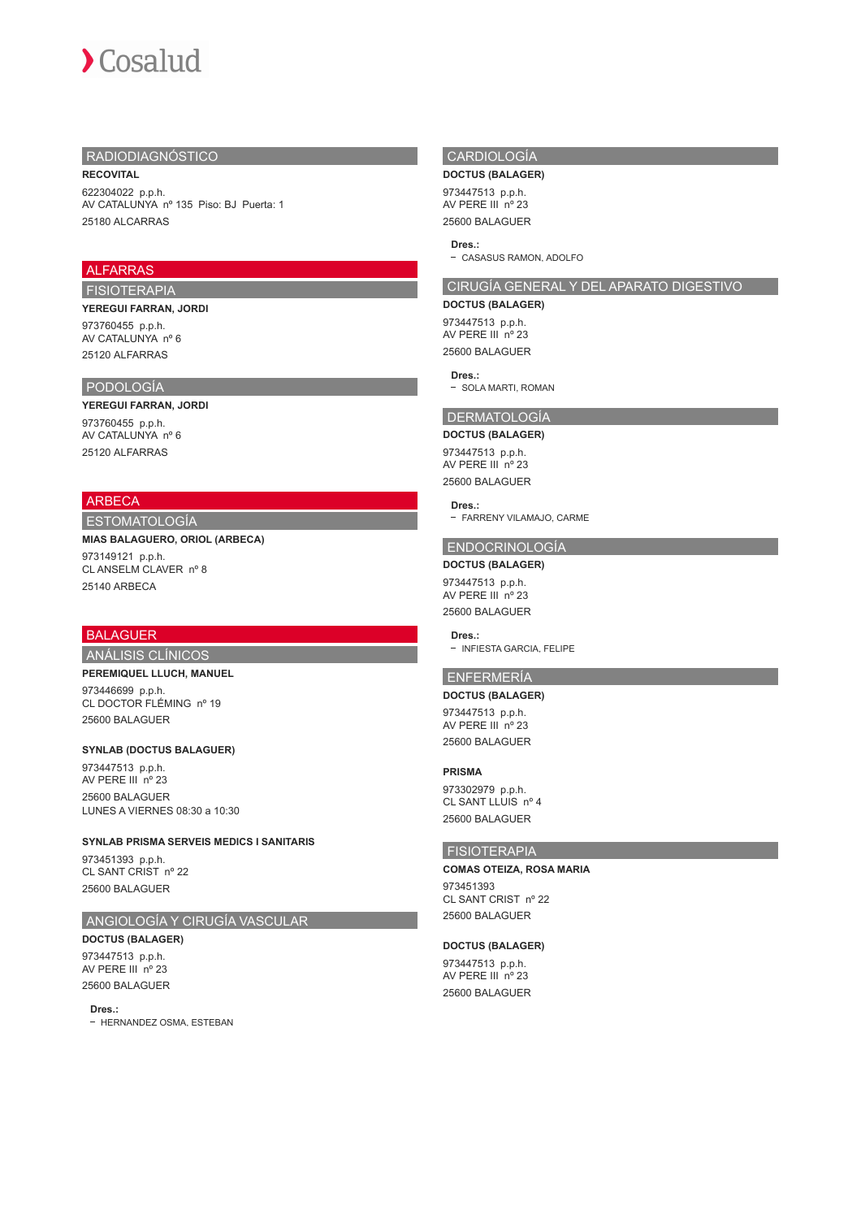## RADIODIAGNÓSTICO

## **RECOVITAL**

622304022 p.p.h. AV CATALUNYA nº 135 Piso: BJ Puerta: 1 25180 ALCARRAS

## **ALFARRAS**

## FISIOTERAPIA

**YEREGUI FARRAN, JORDI** 973760455 p.p.h. AV CATALUNYA nº 6 25120 ALFARRAS

## PODOLOGÍA

## **YEREGUI FARRAN, JORDI** 973760455 p.p.h. AV CATALUNYA nº 6 25120 ALFARRAS

## ARBECA

## ESTOMATOLOGÍA

#### **MIAS BALAGUERO, ORIOL (ARBECA)**

973149121 p.p.h. CL ANSELM CLAVER nº 8 25140 ARBECA

## **BALAGUER**

#### ANÁLISIS CLÍNICOS

#### **PEREMIQUEL LLUCH, MANUEL**

973446699 p.p.h. CL DOCTOR FLÉMING nº 19 25600 BALAGUER

#### **SYNLAB (DOCTUS BALAGUER)**

973447513 p.p.h. AV PERE III nº 23 25600 BALAGUER LUNES A VIERNES 08:30 a 10:30

## **SYNLAB PRISMA SERVEIS MEDICS I SANITARIS**

973451393 p.p.h. CL SANT CRIST nº 22 25600 BALAGUER

## ANGIOLOGÍA Y CIRUGÍA VASCULAR

**DOCTUS (BALAGER)** 973447513 p.p.h. AV PERE III nº 23 25600 BALAGUER

#### **Dres.:**

- HERNANDEZ OSMA, ESTEBAN

## CARDIOLOGÍA

#### **DOCTUS (BALAGER)**

973447513 p.p.h. AV PERE III nº 23 25600 BALAGUER

#### **Dres.:**

- CASASUS RAMON, ADOLFO

## CIRUGÍA GENERAL Y DEL APARATO DIGESTIVO

## **DOCTUS (BALAGER)**

973447513 p.p.h. AV PERE III nº 23 25600 BALAGUER

#### **Dres.:**

- SOLA MARTI, ROMAN

## DERMATOLOGÍA

**DOCTUS (BALAGER)** 973447513 p.p.h. AV PERE III nº 23 25600 BALAGUER

#### **Dres.:**

- FARRENY VILAMAJO, CARME

## ENDOCRINOLOGÍA

**DOCTUS (BALAGER)**

973447513 p.p.h. AV PERE III nº 23 25600 BALAGUER

#### **Dres.:**

- INFIESTA GARCIA, FELIPE

## ENFERMERÍA

## **DOCTUS (BALAGER)**

973447513 p.p.h. AV PERE III nº 23 25600 BALAGUER

## **PRISMA**

973302979 p.p.h. CL SANT LLUIS nº 4 25600 BALAGUER

## FISIOTERAPIA

#### **COMAS OTEIZA, ROSA MARIA**

973451393 CL SANT CRIST nº 22 25600 BALAGUER

#### **DOCTUS (BALAGER)**

973447513 p.p.h. AV PERE III nº 23 25600 BALAGUER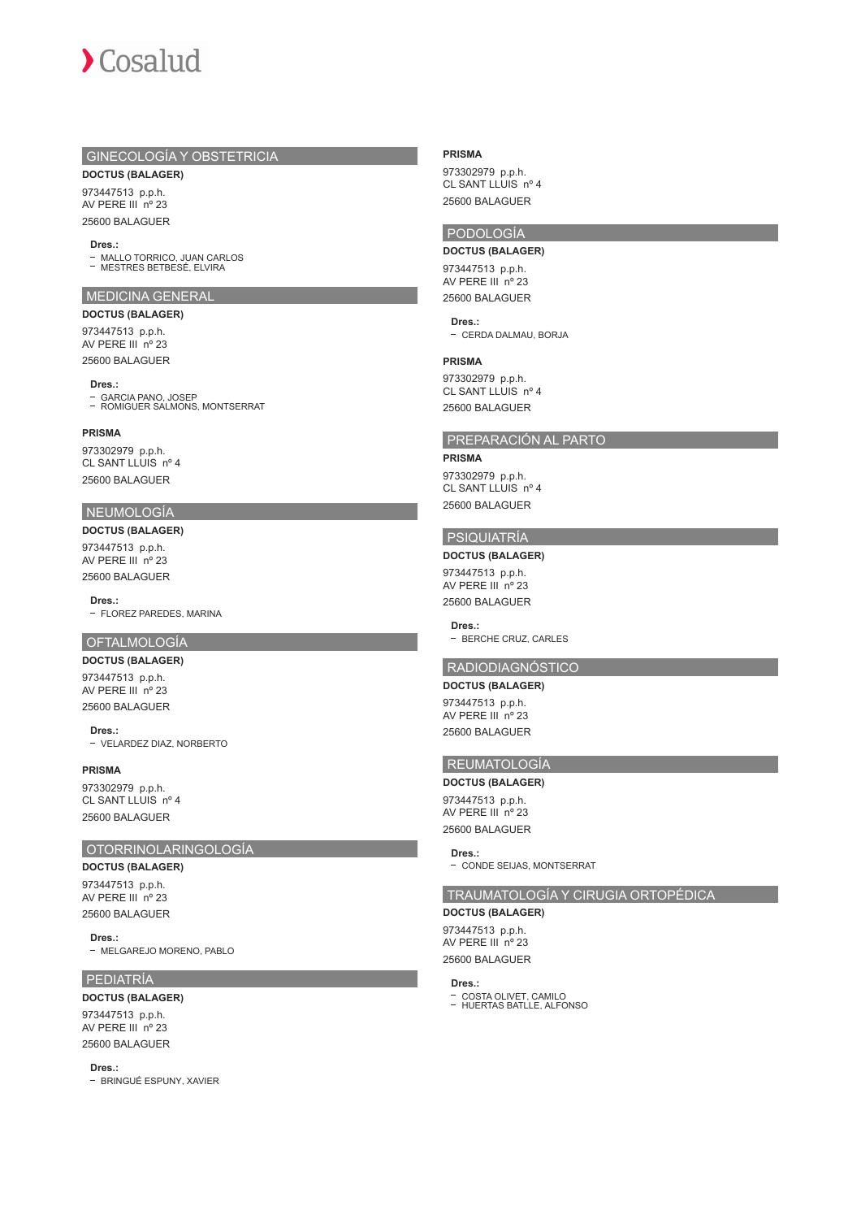

## GINECOLOGÍA Y OBSTETRICIA

**DOCTUS (BALAGER)**

973447513 p.p.h. AV PERE III nº 23 25600 BALAGUER

#### **Dres.:**

MALLO TORRICO, JUAN CARLOS MESTRES BETBESÉ, ELVIRA

#### MEDICINA GENERAL

**DOCTUS (BALAGER)**

973447513 p.p.h. AV PERE III nº 23 25600 BALAGUER

#### **Dres.:**

GARCIA PANO, JOSEP ROMIGUER SALMONS, MONTSERRAT

## **PRISMA**

973302979 p.p.h. CL SANT LLUIS nº 4 25600 BALAGUER

## NEUMOLOGÍA

**DOCTUS (BALAGER)** 973447513 p.p.h. AV PERE III nº 23 25600 BALAGUER

**Dres.:**

- FLOREZ PAREDES, MARINA

## OFTALMOLOGÍA

**DOCTUS (BALAGER)** 973447513 p.p.h. AV PERE III nº 23 25600 BALAGUER

**Dres.:** VELARDEZ DIAZ, NORBERTO

**PRISMA** 973302979 p.p.h. CL SANT LLUIS nº 4 25600 BALAGUER

#### OTORRINOLARINGOLOGÍA

**DOCTUS (BALAGER)** 973447513 p.p.h. AV PERE III nº 23 25600 BALAGUER

**Dres.:**

- MELGAREJO MORENO, PABLO

## PEDIATRÍA

## **DOCTUS (BALAGER)**

973447513 p.p.h. AV PERE III nº 23 25600 BALAGUER

**Dres.:**

- BRINGUÉ ESPUNY, XAVIER

#### **PRISMA**

973302979 p.p.h. CL SANT LLUIS nº 4 25600 BALAGUER

## PODOLOGÍA

**DOCTUS (BALAGER)** 973447513 p.p.h. AV PERE III nº 23 25600 BALAGUER

**Dres.:** - CERDA DALMAU, BORJA

#### **PRISMA**

973302979 p.p.h. CL SANT LLUIS nº 4 25600 BALAGUER

## PREPARACIÓN AL PARTO

**PRISMA** 973302979 p.p.h. CL SANT LLUIS nº 4 25600 BALAGUER

# PSIQUIATRÍA

**DOCTUS (BALAGER)** 973447513 p.p.h. AV PERE III nº 23 25600 BALAGUER

**Dres.:** - BERCHE CRUZ, CARLES

## RADIODIAGNÓSTICO

**DOCTUS (BALAGER)** 973447513 p.p.h. AV PERE III nº 23 25600 BALAGUER

# REUMATOLOGÍA

**DOCTUS (BALAGER)** 973447513 p.p.h. AV PERE III nº 23 25600 BALAGUER

**Dres.:**

- CONDE SEIJAS, MONTSERRAT

## TRAUMATOLOGÍA Y CIRUGIA ORTOPÉDICA

# **DOCTUS (BALAGER)**

973447513 p.p.h. AV PERE III nº 23 25600 BALAGUER

#### **Dres.:**

COSTA OLIVET, CAMILO HUERTAS BATLLE, ALFONSO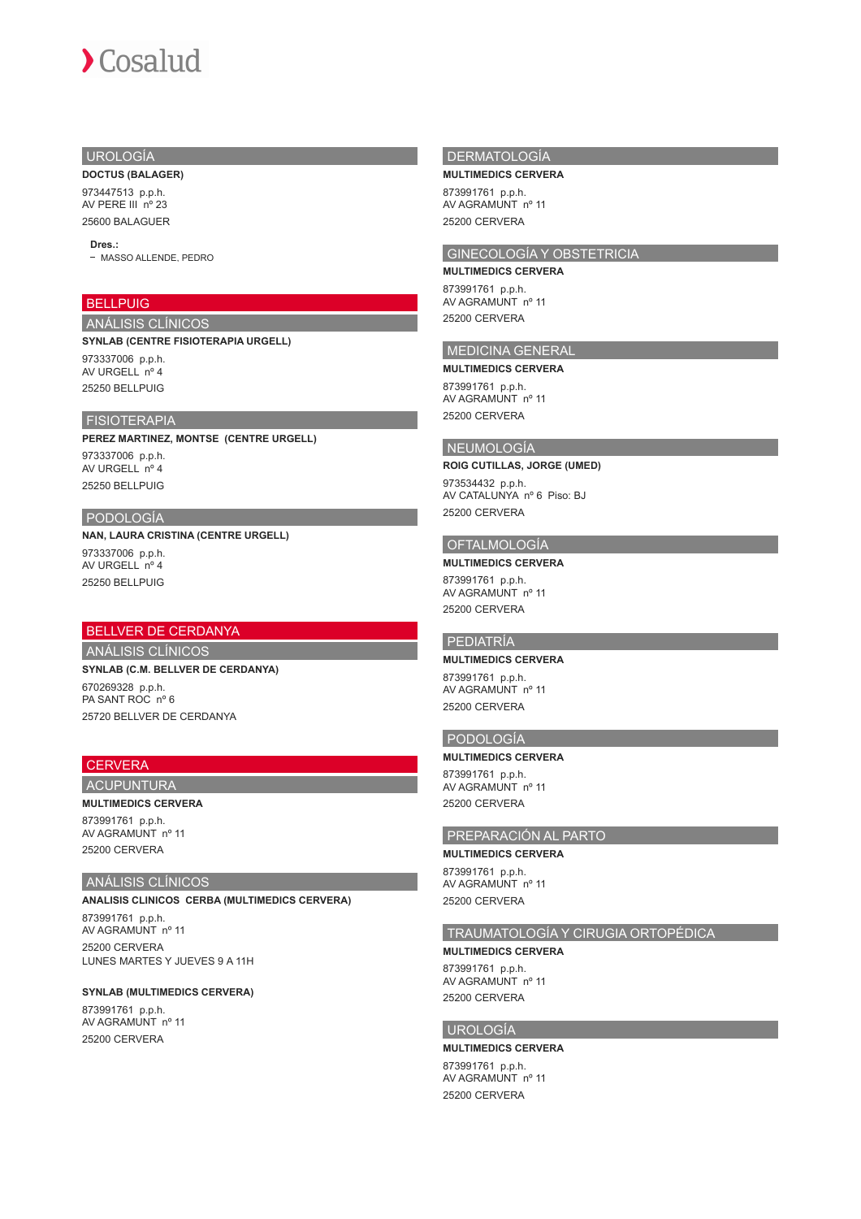## UROLOGÍA

**DOCTUS (BALAGER)**

973447513 p.p.h. AV PERE III nº 23 25600 BALAGUER

#### **Dres.:**

- MASSO ALLENDE, PEDRO

## **BELLPUIG**

ANÁLISIS CLÍNICOS **SYNLAB (CENTRE FISIOTERAPIA URGELL)** 973337006 p.p.h. AV URGELL nº 4 25250 BELLPUIG

## FISIOTERAPIA

**PEREZ MARTINEZ, MONTSE (CENTRE URGELL)** 973337006 p.p.h. AV URGELL nº 4 25250 BELLPUIG

## PODOLOGÍA

**NAN, LAURA CRISTINA (CENTRE URGELL)** 973337006 p.p.h. AV URGELL nº 4 25250 BELLPUIG

## BELLVER DE CERDANYA

ANÁLISIS CLÍNICOS

**SYNLAB (C.M. BELLVER DE CERDANYA)** 670269328 p.p.h. PA SANT ROC nº 6 25720 BELLVER DE CERDANYA

## **CERVERA**

## ACUPUNTURA **MULTIMEDICS CERVERA**

873991761 p.p.h. AV AGRAMUNT nº 11 25200 CERVERA

#### ANÁLISIS CLÍNICOS

**ANALISIS CLINICOS CERBA (MULTIMEDICS CERVERA)**

873991761 p.p.h. AV AGRAMUNT nº 11 25200 CERVERA LUNES MARTES Y JUEVES 9 A 11H

## **SYNLAB (MULTIMEDICS CERVERA)**

873991761 p.p.h. AV AGRAMUNT nº 11 25200 CERVERA

#### DERMATOLOGÍA

**MULTIMEDICS CERVERA**

873991761 p.p.h. AV AGRAMUNT nº 11 25200 CERVERA

# GINECOLOGÍA Y OBSTETRICIA

**MULTIMEDICS CERVERA** 873991761 p.p.h. AV AGRAMUNT nº 11 25200 CERVERA

## MEDICINA GENERAL

**MULTIMEDICS CERVERA** 873991761 p.p.h.

## AV AGRAMUNT nº 11 25200 CERVERA

## NEUMOLOGÍA

**ROIG CUTILLAS, JORGE (UMED)** 973534432 p.p.h.

AV CATALUNYA nº 6 Piso: BJ 25200 CERVERA

## OFTALMOLOGÍA

**MULTIMEDICS CERVERA** 873991761 p.p.h. AV AGRAMUNT nº 11 25200 CERVERA

## PEDIATRÍA

**MULTIMEDICS CERVERA** 873991761 p.p.h. AV AGRAMUNT nº 11 25200 CERVERA

## PODOLOGÍA

**MULTIMEDICS CERVERA** 873991761 p.p.h. AV AGRAMUNT nº 11 25200 CERVERA

## PREPARACIÓN AL PARTO

**MULTIMEDICS CERVERA**

873991761 p.p.h. AV AGRAMUNT nº 11 25200 CERVERA

## TRAUMATOLOGÍA Y CIRUGIA ORTOPÉDICA

**MULTIMEDICS CERVERA**

873991761 p.p.h. AV AGRAMUNT nº 11 25200 CERVERA

## UROLOGÍA

# **MULTIMEDICS CERVERA**

873991761 p.p.h. AV AGRAMUNT nº 11 25200 CERVERA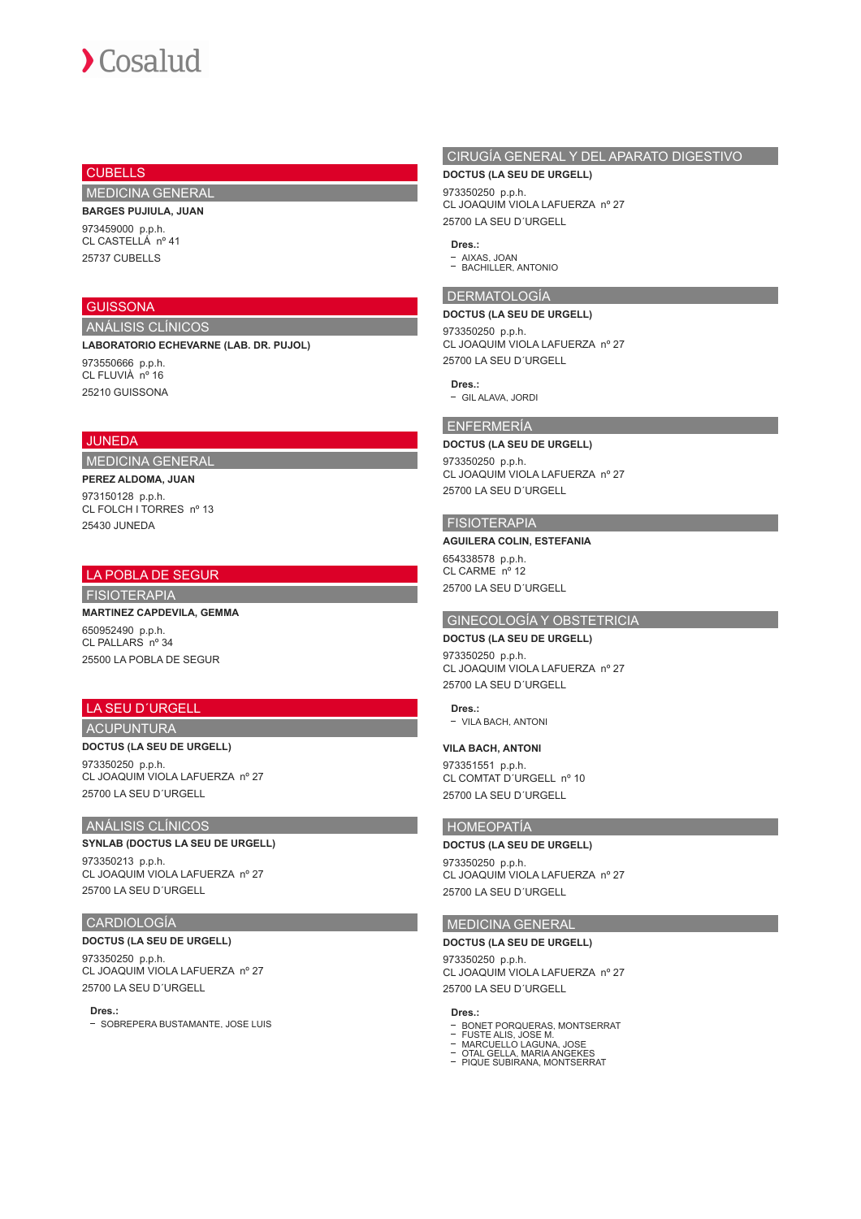# $\sum$  Cosalud

## **CUBELLS**

MEDICINA GENERAL

## **BARGES PUJIULA, JUAN**

973459000 p.p.h. CL CASTELLÁ nº 41 25737 CUBELLS

## **GUISSONA**

ANÁLISIS CLÍNICOS **LABORATORIO ECHEVARNE (LAB. DR. PUJOL)**

973550666 p.p.h. CL FLUVIÀ nº 16 25210 GUISSONA

## JUNEDA

## MEDICINA GENERAL

**PEREZ ALDOMA, JUAN** 973150128 p.p.h. CL FOLCH I TORRES nº 13 25430 JUNEDA

## LA POBLA DE SEGUR

FISIOTERAPIA

**MARTINEZ CAPDEVILA, GEMMA** 650952490 p.p.h. CL PALLARS nº 34 25500 LA POBLA DE SEGUR

## LA SEU D´URGELL

#### ACUPUNTURA

**DOCTUS (LA SEU DE URGELL)**

973350250 p.p.h. CL JOAQUIM VIOLA LAFUERZA nº 27 25700 LA SEU D´URGELL

#### ANÁLISIS CLÍNICOS

## **SYNLAB (DOCTUS LA SEU DE URGELL)**

973350213 p.p.h. CL JOAQUIM VIOLA LAFUERZA nº 27 25700 LA SEU D´URGELL

#### CARDIOLOGÍA

## **DOCTUS (LA SEU DE URGELL)**

973350250 p.p.h. CL JOAQUIM VIOLA LAFUERZA nº 27 25700 LA SEU D´URGELL

#### **Dres.:**

- SOBREPERA BUSTAMANTE, JOSE LUIS

# CIRUGÍA GENERAL Y DEL APARATO DIGESTIVO

## **DOCTUS (LA SEU DE URGELL)**

973350250 p.p.h. CL JOAQUIM VIOLA LAFUERZA nº 27 25700 LA SEU D´URGELL

#### **Dres.:**

AIXAS, JOAN BACHILLER, ANTONIO

## DERMATOLOGÍA

#### **DOCTUS (LA SEU DE URGELL)**

973350250 p.p.h. CL JOAQUIM VIOLA LAFUERZA nº 27 25700 LA SEU D´URGELL

**Dres.:** GIL ALAVA, JORDI

# ENFERMERÍA

## **DOCTUS (LA SEU DE URGELL)**

973350250 p.p.h. CL JOAQUIM VIOLA LAFUERZA nº 27 25700 LA SEU D´URGELL

#### FISIOTERAPIA

## **AGUILERA COLIN, ESTEFANIA** 654338578 p.p.h. CL CARME nº 12

25700 LA SEU D´URGELL

## GINECOLOGÍA Y OBSTETRICIA

## **DOCTUS (LA SEU DE URGELL)**

973350250 p.p.h. CL JOAQUIM VIOLA LAFUERZA nº 27 25700 LA SEU D´URGELL

#### **Dres.:**

- VILA BACH, ANTONI

#### **VILA BACH, ANTONI**

973351551 p.p.h. CL COMTAT D´URGELL nº 10 25700 LA SEU D´URGELL

## HOMEOPATÍA

#### **DOCTUS (LA SEU DE URGELL)**

973350250 p.p.h. CL JOAQUIM VIOLA LAFUERZA nº 27 25700 LA SEU D´URGELL

## MEDICINA GENERAL

**DOCTUS (LA SEU DE URGELL)** 973350250 p.p.h. CL JOAQUIM VIOLA LAFUERZA nº 27 25700 LA SEU D´URGELL

# **Dres.:**

- 
- 
- 
- BONET PORQUERAS, MONTSERRAT<br>FUSTE ALIS, JOSE M.<br>MARCUELLO LAGUNA, JOSE<br>OTAL GELLA, MARIA ANGEKES<br>OTAL GELLA, MARIA ANGEKES<br>PIQUE SUBIRANA, MONTSERRAT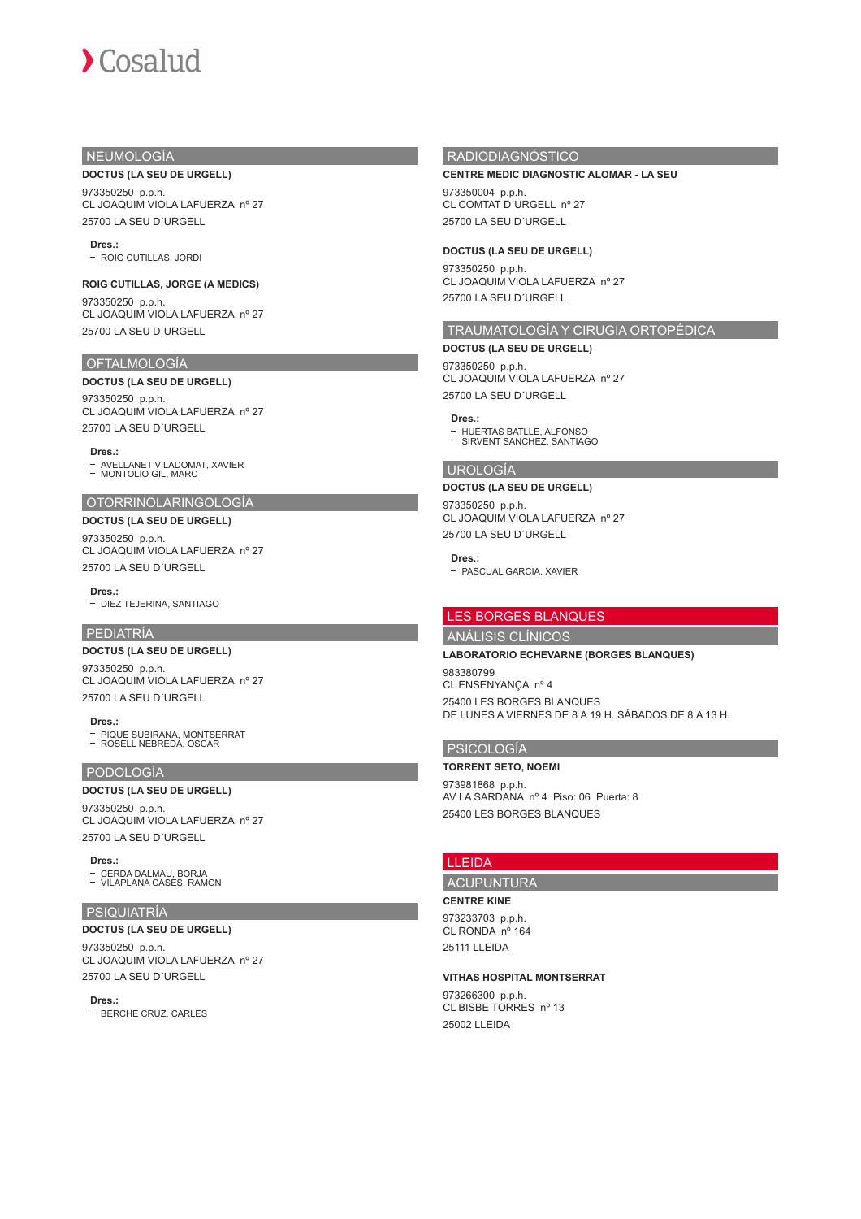## NEUMOLOGÍA

#### **DOCTUS (LA SEU DE URGELL)**

973350250 p.p.h. CL JOAQUIM VIOLA LAFUERZA nº 27 25700 LA SEU D´URGELL

**Dres.:**

ROIG CUTILLAS, JORDI

#### **ROIG CUTILLAS, JORGE (A MEDICS)**

973350250 p.p.h. CL JOAQUIM VIOLA LAFUERZA nº 27 25700 LA SEU D´URGELL

#### OFTALMOLOGÍA

#### **DOCTUS (LA SEU DE URGELL)**

973350250 p.p.h. CL JOAQUIM VIOLA LAFUERZA nº 27 25700 LA SEU D´URGELL

**Dres.:**

AVELLANET VILADOMAT, XAVIER MONTOLIO GIL, MARC

#### OTORRINOLARINGOLOGÍA

#### **DOCTUS (LA SEU DE URGELL)**

973350250 p.p.h. CL JOAQUIM VIOLA LAFUERZA nº 27 25700 LA SEU D´URGELL

**Dres.:**

#### - DIEZ TEJERINA, SANTIAGO

## PEDIATRÍA

#### **DOCTUS (LA SEU DE URGELL)**

973350250 p.p.h. CL JOAQUIM VIOLA LAFUERZA nº 27 25700 LA SEU D´URGELL

**Dres.:** PIQUE SUBIRANA, MONTSERRAT ROSELL NEBREDA, OSCAR

## PODOLOGÍA

#### **DOCTUS (LA SEU DE URGELL)**

973350250 p.p.h. CL JOAQUIM VIOLA LAFUERZA nº 27 25700 LA SEU D´URGELL

**Dres.:**

CERDA DALMAU, BORJA VILAPLANA CASES, RAMON

## PSIQUIATRÍA

**DOCTUS (LA SEU DE URGELL)**

973350250 p.p.h. CL JOAQUIM VIOLA LAFUERZA nº 27 25700 LA SEU D´URGELL

**Dres.:** - BERCHE CRUZ, CARLES

## RADIODIAGNÓSTICO

#### **CENTRE MEDIC DIAGNOSTIC ALOMAR - LA SEU**

973350004 p.p.h. CL COMTAT D´URGELL nº 27 25700 LA SEU D´URGELL

## **DOCTUS (LA SEU DE URGELL)**

973350250 p.p.h. CL JOAQUIM VIOLA LAFUERZA nº 27 25700 LA SEU D´URGELL

# TRAUMATOLOGÍA Y CIRUGIA ORTOPÉDICA

**DOCTUS (LA SEU DE URGELL)** 973350250 p.p.h. CL JOAQUIM VIOLA LAFUERZA nº 27 25700 LA SEU D´URGELL

#### **Dres.:**

HUERTAS BATLLE, ALFONSO SIRVENT SANCHEZ, SANTIAGO

#### UROLOGÍA

## **DOCTUS (LA SEU DE URGELL)**

973350250 p.p.h. CL JOAQUIM VIOLA LAFUERZA nº 27 25700 LA SEU D´URGELL

#### **Dres.:**

- PASCUAL GARCIA, XAVIER

## LES BORGES BLANQUES

ANÁLISIS CLÍNICOS

**LABORATORIO ECHEVARNE (BORGES BLANQUES)**

983380799 CL ENSENYANÇA nº 4 25400 LES BORGES BLANQUES DE LUNES A VIERNES DE 8 A 19 H. SÁBADOS DE 8 A 13 H.

## PSICOLOGÍA

**TORRENT SETO, NOEMI** 973981868 p.p.h. AV LA SARDANA nº 4 Piso: 06 Puerta: 8

25400 LES BORGES BLANQUES

## LLEIDA

ACUPUNTURA

#### **CENTRE KINE**

973233703 p.p.h. CL RONDA nº 164 25111 LLEIDA

#### **VITHAS HOSPITAL MONTSERRAT**

973266300 p.p.h. CL BISBE TORRES nº 13 25002 LLEIDA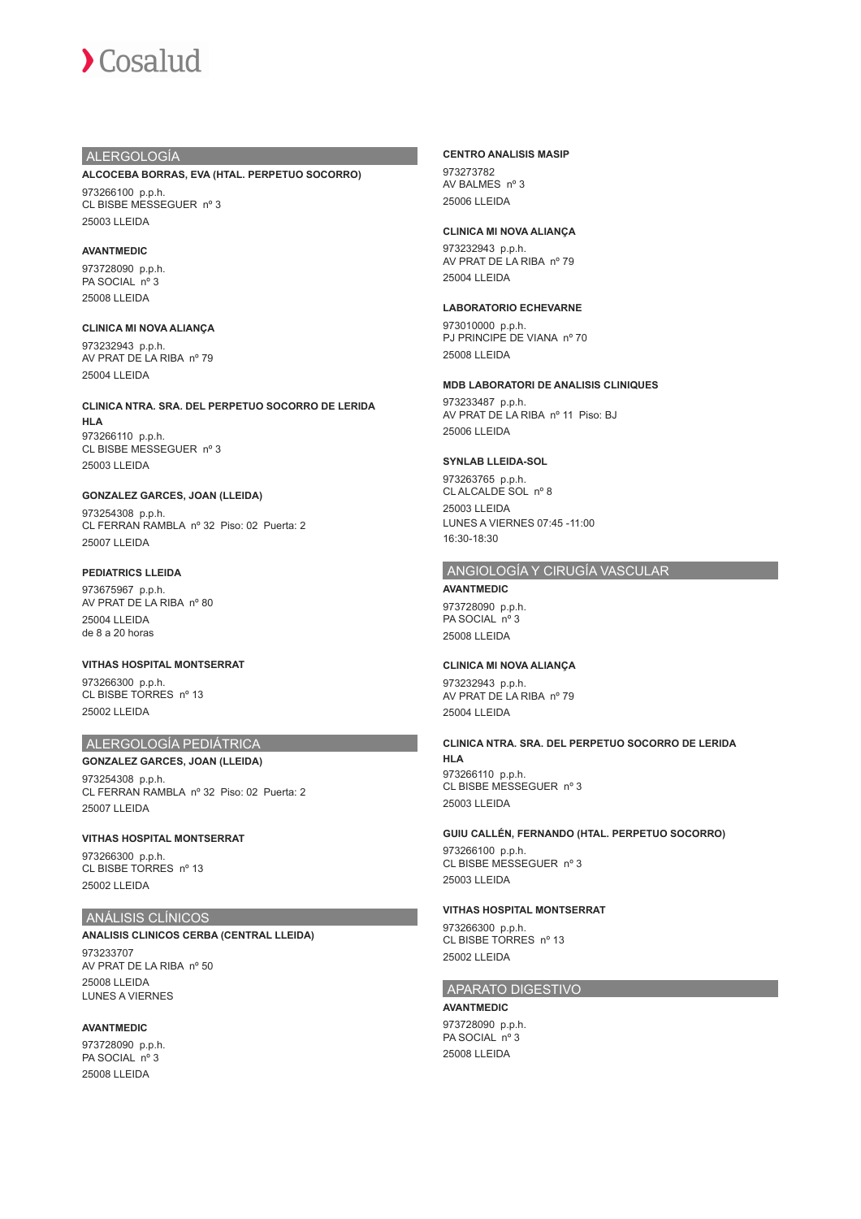## ALERGOLOGÍA

#### **ALCOCEBA BORRAS, EVA (HTAL. PERPETUO SOCORRO)**

973266100 p.p.h. CL BISBE MESSEGUER nº 3 25003 LLEIDA

#### **AVANTMEDIC**

973728090 p.p.h. PA SOCIAL nº 3 25008 LLEIDA

**CLINICA MI NOVA ALIANÇA** 973232943 p.p.h. AV PRAT DE LA RIBA nº 79 25004 LLEIDA

**CLINICA NTRA. SRA. DEL PERPETUO SOCORRO DE LERIDA HLA** 973266110 p.p.h. CL BISBE MESSEGUER nº 3 25003 LLEIDA

#### **GONZALEZ GARCES, JOAN (LLEIDA)**

973254308 p.p.h. CL FERRAN RAMBLA nº 32 Piso: 02 Puerta: 2 25007 LLEIDA

#### **PEDIATRICS LLEIDA**

973675967 p.p.h. AV PRAT DE LA RIBA nº 80 25004 LLEIDA de 8 a 20 horas

**VITHAS HOSPITAL MONTSERRAT** 973266300 p.p.h. CL BISBE TORRES nº 13 25002 LLEIDA

## ALERGOLOGÍA PEDIÁTRICA

**GONZALEZ GARCES, JOAN (LLEIDA)** 973254308 p.p.h. CL FERRAN RAMBLA nº 32 Piso: 02 Puerta: 2 25007 LLEIDA

#### **VITHAS HOSPITAL MONTSERRAT**

973266300 p.p.h. CL BISBE TORRES nº 13 25002 LLEIDA

## ANÁLISIS CLÍNICOS

**ANALISIS CLINICOS CERBA (CENTRAL LLEIDA)** 973233707 AV PRAT DE LA RIBA nº 50 25008 LLEIDA LUNES A VIERNES

#### **AVANTMEDIC**

973728090 p.p.h. PA SOCIAL nº 3 25008 LLEIDA

#### **CENTRO ANALISIS MASIP**

973273782 AV BALMES nº 3 25006 LLEIDA

#### **CLINICA MI NOVA ALIANÇA**

973232943 p.p.h. AV PRAT DE LA RIBA nº 79 25004 LLEIDA

#### **LABORATORIO ECHEVARNE**

973010000 p.p.h. PJ PRINCIPE DE VIANA nº 70 25008 LLEIDA

#### **MDB LABORATORI DE ANALISIS CLINIQUES**

973233487 p.p.h. AV PRAT DE LA RIBA nº 11 Piso: BJ 25006 LLEIDA

#### **SYNLAB LLEIDA-SOL**

973263765 p.p.h. CL ALCALDE SOL nº 8 25003 LLEIDA LUNES A VIERNES 07:45 -11:00 16:30-18:30

## ANGIOLOGÍA Y CIRUGÍA VASCULAR

**AVANTMEDIC** 973728090 p.p.h. PA SOCIAL nº 3 25008 LLEIDA

#### **CLINICA MI NOVA ALIANÇA**

973232943 p.p.h. AV PRAT DE LA RIBA nº 79 25004 LLEIDA

**CLINICA NTRA. SRA. DEL PERPETUO SOCORRO DE LERIDA HLA** 973266110 p.p.h. CL BISBE MESSEGUER nº 3 25003 LLEIDA

#### **GUIU CALLÉN, FERNANDO (HTAL. PERPETUO SOCORRO)**

973266100 p.p.h. CL BISBE MESSEGUER nº 3 25003 LLEIDA

## **VITHAS HOSPITAL MONTSERRAT**

973266300 p.p.h. CL BISBE TORRES nº 13 25002 LLEIDA

## APARATO DIGESTIVO

**AVANTMEDIC** 973728090 p.p.h. PA SOCIAL nº 3 25008 LLEIDA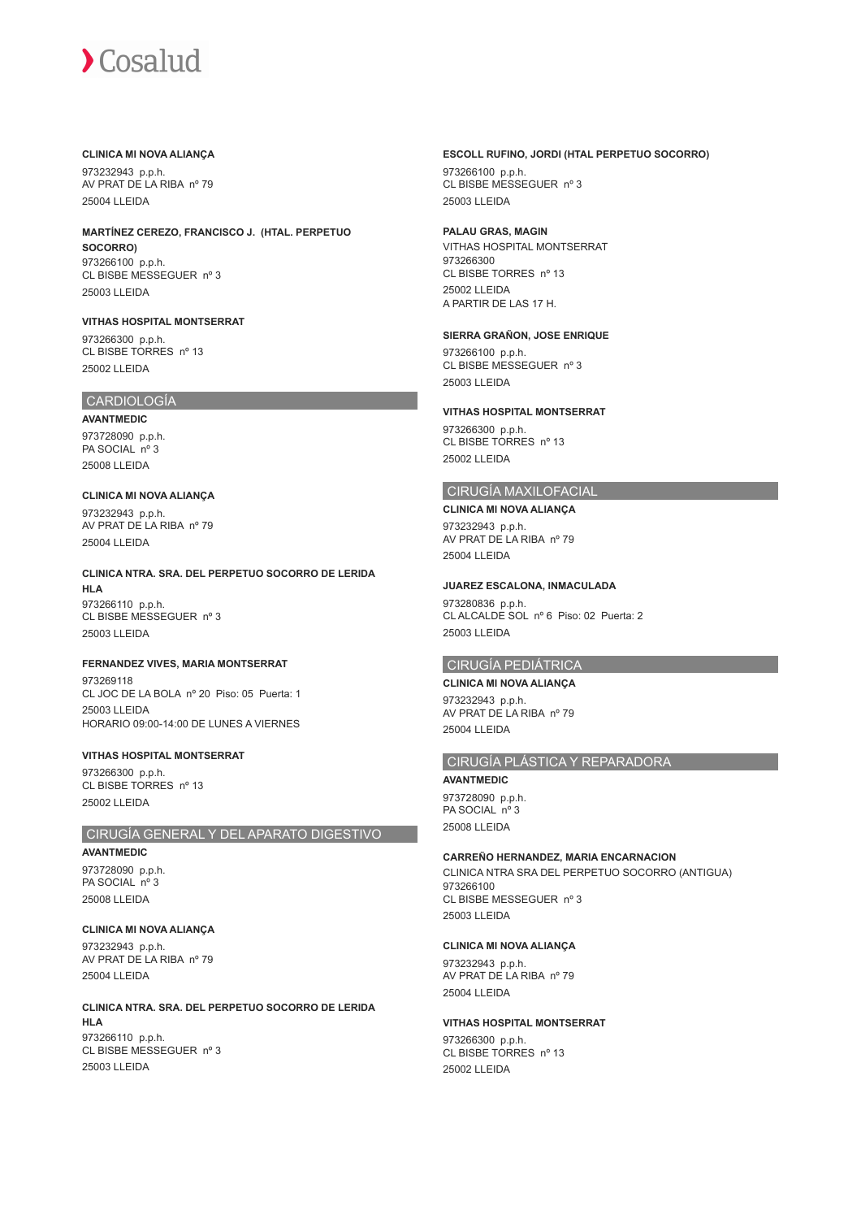#### **CLINICA MI NOVA ALIANÇA**

973232943 p.p.h. AV PRAT DE LA RIBA nº 79 25004 LLEIDA

**MARTÍNEZ CEREZO, FRANCISCO J. (HTAL. PERPETUO SOCORRO)** 973266100 p.p.h. CL BISBE MESSEGUER nº 3 25003 LLEIDA

**VITHAS HOSPITAL MONTSERRAT** 973266300 p.p.h.

CL BISBE TORRES nº 13 25002 LLEIDA

## CARDIOLOGÍA

**AVANTMEDIC** 973728090 p.p.h. PA SOCIAL nº 3 25008 LLEIDA

**CLINICA MI NOVA ALIANÇA** 973232943 p.p.h. AV PRAT DE LA RIBA nº 79 25004 LLEIDA

**CLINICA NTRA. SRA. DEL PERPETUO SOCORRO DE LERIDA HLA** 973266110 p.p.h. CL BISBE MESSEGUER nº 3 25003 LLEIDA

#### **FERNANDEZ VIVES, MARIA MONTSERRAT**

973269118 CL JOC DE LA BOLA nº 20 Piso: 05 Puerta: 1 25003 LLEIDA HORARIO 09:00-14:00 DE LUNES A VIERNES

#### **VITHAS HOSPITAL MONTSERRAT**

973266300 p.p.h. CL BISBE TORRES nº 13 25002 LLEIDA

## CIRUGÍA GENERAL Y DEL APARATO DIGESTIVO

**AVANTMEDIC** 973728090 p.p.h. PA SOCIAL nº 3 25008 LLEIDA

**CLINICA MI NOVA ALIANÇA** 973232943 p.p.h. AV PRAT DE LA RIBA nº 79 25004 LLEIDA

**CLINICA NTRA. SRA. DEL PERPETUO SOCORRO DE LERIDA HLA** 973266110 p.p.h. CL BISBE MESSEGUER nº 3 25003 LLEIDA

#### **ESCOLL RUFINO, JORDI (HTAL PERPETUO SOCORRO)**

973266100 p.p.h. CL BISBE MESSEGUER nº 3 25003 LLEIDA

## **PALAU GRAS, MAGIN**

VITHAS HOSPITAL MONTSERRAT 973266300 CL BISBE TORRES nº 13 25002 LLEIDA A PARTIR DE LAS 17 H.

#### **SIERRA GRAÑON, JOSE ENRIQUE**

973266100 p.p.h. CL BISBE MESSEGUER nº 3 25003 LLEIDA

#### **VITHAS HOSPITAL MONTSERRAT**

973266300 p.p.h. CL BISBE TORRES nº 13 25002 LLEIDA

## CIRUGÍA MAXILOFACIAL

**CLINICA MI NOVA ALIANÇA** 973232943 p.p.h. AV PRAT DE LA RIBA nº 79 25004 LLEIDA

#### **JUAREZ ESCALONA, INMACULADA**

973280836 p.p.h. CL ALCALDE SOL nº 6 Piso: 02 Puerta: 2 25003 LLEIDA

## CIRUGÍA PEDIÁTRICA

**CLINICA MI NOVA ALIANÇA** 973232943 p.p.h. AV PRAT DE LA RIBA nº 79 25004 LLEIDA

## CIRUGÍA PLÁSTICA Y REPARADORA

**AVANTMEDIC** 973728090 p.p.h. PA SOCIAL nº 3 25008 LLEIDA

#### **CARREÑO HERNANDEZ, MARIA ENCARNACION**

CLINICA NTRA SRA DEL PERPETUO SOCORRO (ANTIGUA) 973266100 CL BISBE MESSEGUER nº 3 25003 LLEIDA

#### **CLINICA MI NOVA ALIANÇA**

973232943 p.p.h. AV PRAT DE LA RIBA nº 79 25004 LLEIDA

#### **VITHAS HOSPITAL MONTSERRAT**

973266300 p.p.h. CL BISBE TORRES nº 13 25002 LLEIDA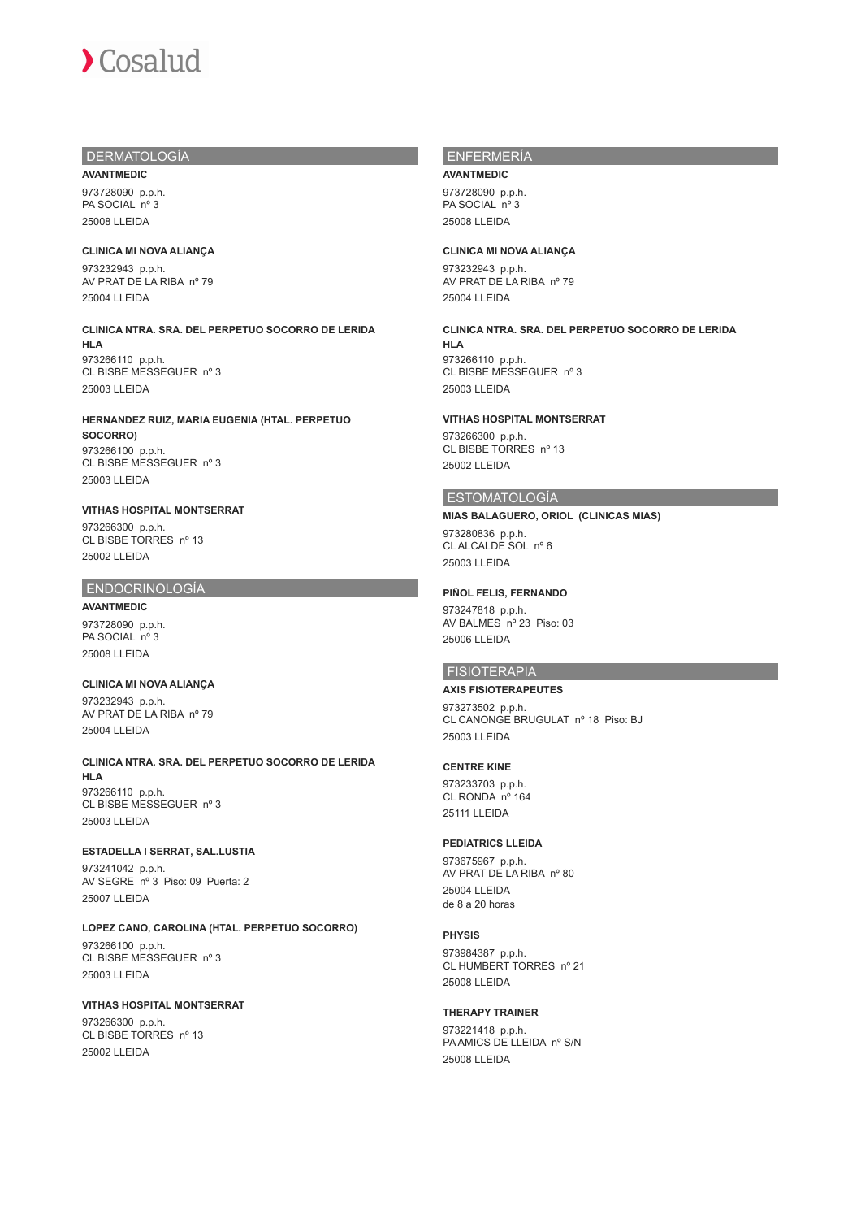## DERMATOLOGÍA

973728090 p.p.h. PA SOCIAL nº 3 25008 LLEIDA

**AVANTMEDIC**

**CLINICA MI NOVA ALIANÇA** 973232943 p.p.h. AV PRAT DE LA RIBA nº 79 25004 LLEIDA

**CLINICA NTRA. SRA. DEL PERPETUO SOCORRO DE LERIDA HLA** 973266110 p.p.h. CL BISBE MESSEGUER nº 3 25003 LLEIDA

**HERNANDEZ RUIZ, MARIA EUGENIA (HTAL. PERPETUO SOCORRO)** 973266100 p.p.h. CL BISBE MESSEGUER nº 3 25003 LLEIDA

#### **VITHAS HOSPITAL MONTSERRAT** 973266300 p.p.h. CL BISBE TORRES nº 13 25002 LLEIDA

#### ENDOCRINOLOGÍA

**AVANTMEDIC** 973728090 p.p.h. PA SOCIAL nº 3 25008 LLEIDA

## **CLINICA MI NOVA ALIANÇA**

973232943 p.p.h. AV PRAT DE LA RIBA nº 79 25004 LLEIDA

**CLINICA NTRA. SRA. DEL PERPETUO SOCORRO DE LERIDA HLA** 973266110 p.p.h.

CL BISBE MESSEGUER nº 3 25003 LLEIDA

#### **ESTADELLA I SERRAT, SAL.LUSTIA**

973241042 p.p.h. AV SEGRE nº 3 Piso: 09 Puerta: 2 25007 LLEIDA

**LOPEZ CANO, CAROLINA (HTAL. PERPETUO SOCORRO)** 973266100 p.p.h. CL BISBE MESSEGUER nº 3 25003 LLEIDA

#### **VITHAS HOSPITAL MONTSERRAT**

973266300 p.p.h. CL BISBE TORRES nº 13 25002 LLEIDA

# ENFERMERÍA

**AVANTMEDIC** 973728090 p.p.h. PA SOCIAL nº 3 25008 LLEIDA

#### **CLINICA MI NOVA ALIANÇA**

973232943 p.p.h. AV PRAT DE LA RIBA nº 79 25004 LLEIDA

**CLINICA NTRA. SRA. DEL PERPETUO SOCORRO DE LERIDA HLA** 973266110 p.p.h. CL BISBE MESSEGUER nº 3

25003 LLEIDA

## **VITHAS HOSPITAL MONTSERRAT**

973266300 p.p.h. CL BISBE TORRES nº 13 25002 LLEIDA

## ESTOMATOLOGÍA

## **MIAS BALAGUERO, ORIOL (CLINICAS MIAS)**

973280836 p.p.h. CL ALCALDE SOL nº 6 25003 LLEIDA

#### **PIÑOL FELIS, FERNANDO**

973247818 p.p.h. AV BALMES nº 23 Piso: 03 25006 LLEIDA

## FISIOTERAPIA

#### **AXIS FISIOTERAPEUTES**

973273502 p.p.h. CL CANONGE BRUGULAT nº 18 Piso: BJ 25003 LLEIDA

#### **CENTRE KINE**

973233703 p.p.h. CL RONDA nº 164 25111 LLEIDA

#### **PEDIATRICS LLEIDA**

973675967 p.p.h. AV PRAT DE LA RIBA nº 80 25004 LLEIDA de 8 a 20 horas

#### **PHYSIS**

973984387 p.p.h. CL HUMBERT TORRES nº 21 25008 LLEIDA

#### **THERAPY TRAINER**

973221418 p.p.h. PA AMICS DE LLEIDA nº S/N 25008 LLEIDA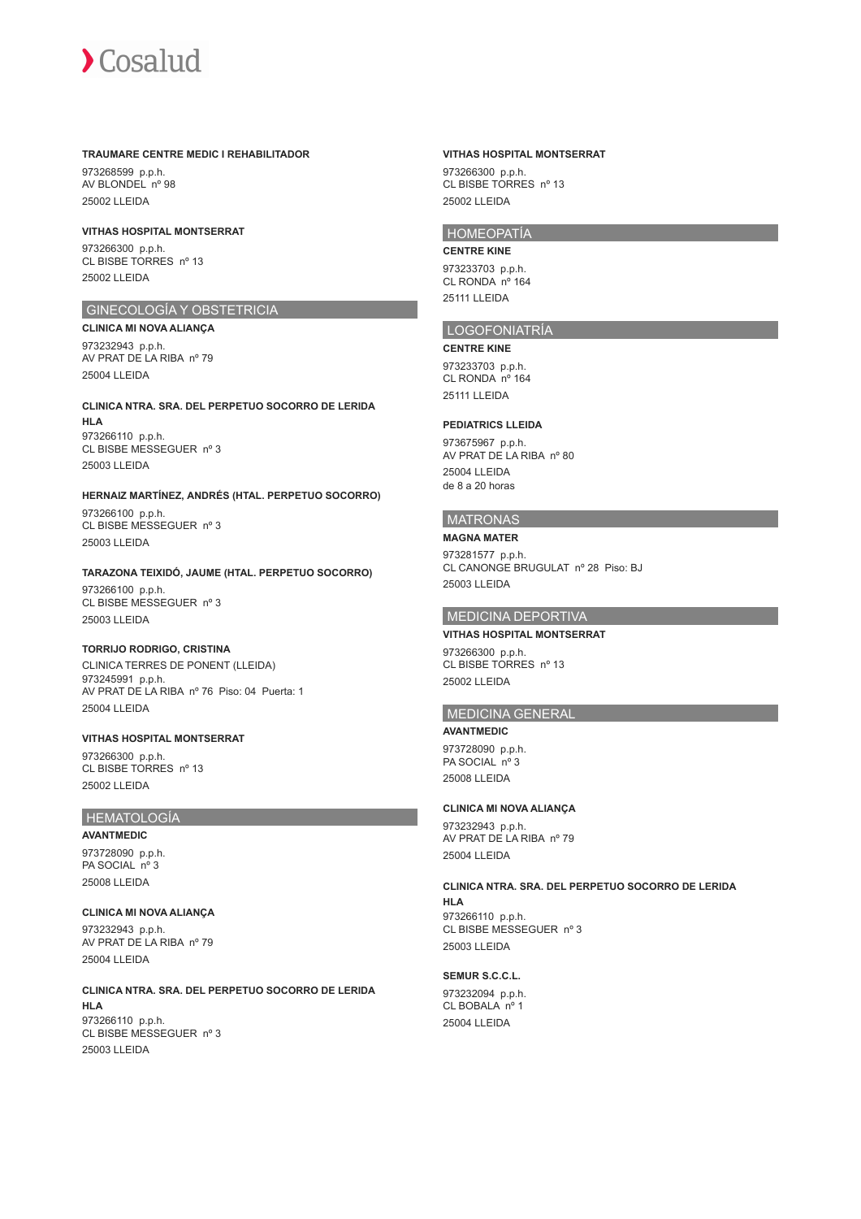#### **TRAUMARE CENTRE MEDIC I REHABILITADOR**

973268599 p.p.h. AV BLONDEL nº 98 25002 LLEIDA

#### **VITHAS HOSPITAL MONTSERRAT**

973266300 p.p.h. CL BISBE TORRES nº 13 25002 LLEIDA

## GINECOLOGÍA Y OBSTETRICIA

**CLINICA MI NOVA ALIANÇA** 973232943 p.p.h. AV PRAT DE LA RIBA nº 79 25004 LLEIDA

## **CLINICA NTRA. SRA. DEL PERPETUO SOCORRO DE LERIDA HLA** 973266110 p.p.h. CL BISBE MESSEGUER nº 3

25003 LLEIDA

#### **HERNAIZ MARTÍNEZ, ANDRÉS (HTAL. PERPETUO SOCORRO)** 973266100 p.p.h. CL BISBE MESSEGUER nº 3 25003 LLEIDA

## **TARAZONA TEIXIDÓ, JAUME (HTAL. PERPETUO SOCORRO)**

973266100 p.p.h. CL BISBE MESSEGUER nº 3 25003 LLEIDA

#### **TORRIJO RODRIGO, CRISTINA**

CLINICA TERRES DE PONENT (LLEIDA) 973245991 p.p.h. AV PRAT DE LA RIBA nº 76 Piso: 04 Puerta: 1 25004 LLEIDA

#### **VITHAS HOSPITAL MONTSERRAT** 973266300 p.p.h. CL BISBE TORRES nº 13 25002 LLEIDA

## HEMATOLOGÍA

**AVANTMEDIC** 973728090 p.p.h. PA SOCIAL nº 3 25008 LLEIDA

## **CLINICA MI NOVA ALIANÇA** 973232943 p.p.h. AV PRAT DE LA RIBA nº 79 25004 LLEIDA

**CLINICA NTRA. SRA. DEL PERPETUO SOCORRO DE LERIDA HLA** 973266110 p.p.h. CL BISBE MESSEGUER nº 3 25003 LLEIDA

#### **VITHAS HOSPITAL MONTSERRAT**

973266300 p.p.h. CL BISBE TORRES nº 13 25002 LLEIDA

## HOMEOPATÍA

**CENTRE KINE**

973233703 p.p.h. CL RONDA nº 164 25111 LLEIDA

#### LOGOFONIATRÍA

**CENTRE KINE** 973233703 p.p.h. CL RONDA nº 164 25111 LLEIDA

#### **PEDIATRICS LLEIDA**

973675967 p.p.h. AV PRAT DE LA RIBA nº 80 25004 LLEIDA de 8 a 20 horas

## MATRONAS

## **MAGNA MATER**

973281577 p.p.h. CL CANONGE BRUGULAT nº 28 Piso: BJ 25003 LLEIDA

## MEDICINA DEPORTIVA

#### **VITHAS HOSPITAL MONTSERRAT**

973266300 p.p.h. CL BISBE TORRES nº 13 25002 LLEIDA

## MEDICINA GENERAL

**AVANTMEDIC** 973728090 p.p.h. PA SOCIAL nº 3 25008 LLEIDA

## **CLINICA MI NOVA ALIANÇA**

973232943 p.p.h. AV PRAT DE LA RIBA nº 79 25004 LLEIDA

**CLINICA NTRA. SRA. DEL PERPETUO SOCORRO DE LERIDA HLA** 973266110 p.p.h. CL BISBE MESSEGUER nº 3 25003 LLEIDA

#### **SEMUR S.C.C.L.**

973232094 p.p.h. CL BOBALA nº 1 25004 LLEIDA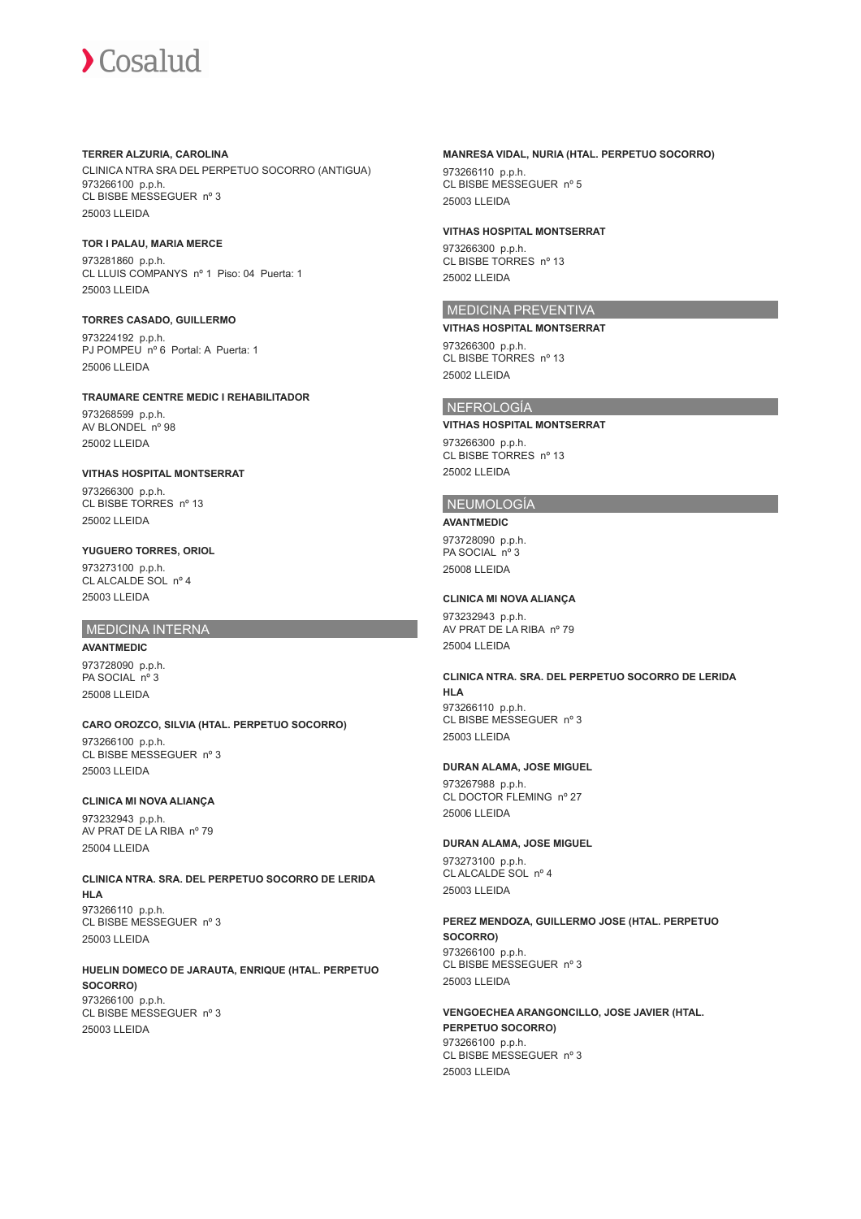#### **TERRER ALZURIA, CAROLINA**

CLINICA NTRA SRA DEL PERPETUO SOCORRO (ANTIGUA) 973266100 p.p.h. CL BISBE MESSEGUER nº 3 25003 LLEIDA

#### **TOR I PALAU, MARIA MERCE**

973281860 p.p.h. CL LLUIS COMPANYS nº 1 Piso: 04 Puerta: 1 25003 LLEIDA

#### **TORRES CASADO, GUILLERMO**

973224192 p.p.h. PJ POMPEU nº 6 Portal: A Puerta: 1 25006 LLEIDA

## **TRAUMARE CENTRE MEDIC I REHABILITADOR**

973268599 p.p.h. AV BLONDEL nº 98 25002 LLEIDA

## **VITHAS HOSPITAL MONTSERRAT**

973266300 p.p.h. CL BISBE TORRES nº 13 25002 LLEIDA

# **YUGUERO TORRES, ORIOL**

973273100 p.p.h. CL ALCALDE SOL nº 4 25003 LLEIDA

## MEDICINA INTERNA

**AVANTMEDIC** 973728090 p.p.h. PA SOCIAL nº 3 25008 LLEIDA

# **CARO OROZCO, SILVIA (HTAL. PERPETUO SOCORRO)**

973266100 p.p.h. CL BISBE MESSEGUER nº 3 25003 LLEIDA

## **CLINICA MI NOVA ALIANÇA**

973232943 p.p.h. AV PRAT DE LA RIBA nº 79 25004 LLEIDA

#### **CLINICA NTRA. SRA. DEL PERPETUO SOCORRO DE LERIDA HLA** 973266110 p.p.h. CL BISBE MESSEGUER nº 3 25003 LLEIDA

**HUELIN DOMECO DE JARAUTA, ENRIQUE (HTAL. PERPETUO SOCORRO)** 973266100 p.p.h. CL BISBE MESSEGUER nº 3 25003 LLEIDA

#### **MANRESA VIDAL, NURIA (HTAL. PERPETUO SOCORRO)**

973266110 p.p.h. CL BISBE MESSEGUER nº 5 25003 LLEIDA

#### **VITHAS HOSPITAL MONTSERRAT**

973266300 p.p.h. CL BISBE TORRES nº 13 25002 LLEIDA

## MEDICINA PREVENTIVA

**VITHAS HOSPITAL MONTSERRAT** 973266300 p.p.h. CL BISBE TORRES nº 13

# 25002 LLEIDA

## NEFROLOGÍA

#### **VITHAS HOSPITAL MONTSERRAT**

973266300 p.p.h. CL BISBE TORRES nº 13 25002 LLEIDA

## NEUMOLOGÍA

#### **AVANTMEDIC**

973728090 p.p.h. PA SOCIAL nº 3 25008 LLEIDA

## **CLINICA MI NOVA ALIANÇA**

973232943 p.p.h. AV PRAT DE LA RIBA nº 79 25004 LLEIDA

## **CLINICA NTRA. SRA. DEL PERPETUO SOCORRO DE LERIDA HLA** 973266110 p.p.h.

CL BISBE MESSEGUER nº 3 25003 LLEIDA

## **DURAN ALAMA, JOSE MIGUEL**

973267988 p.p.h. CL DOCTOR FLEMING nº 27 25006 LLEIDA

#### **DURAN ALAMA, JOSE MIGUEL**

973273100 p.p.h. CL ALCALDE SOL nº 4 25003 LLEIDA

#### **PEREZ MENDOZA, GUILLERMO JOSE (HTAL. PERPETUO SOCORRO)** 973266100 p.p.h. CL BISBE MESSEGUER nº 3 25003 LLEIDA

**VENGOECHEA ARANGONCILLO, JOSE JAVIER (HTAL. PERPETUO SOCORRO)** 973266100 p.p.h. CL BISBE MESSEGUER nº 3 25003 LLEIDA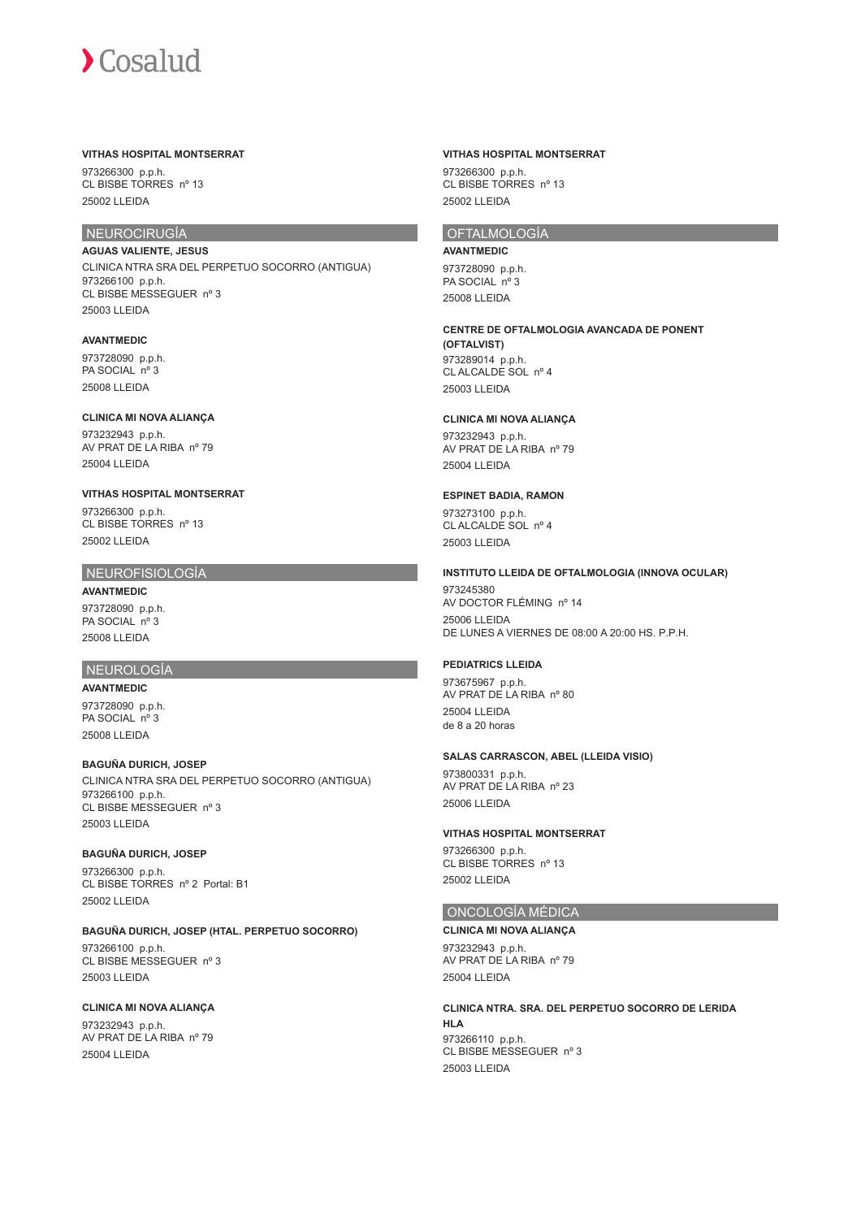#### **VITHAS HOSPITAL MONTSERRAT**

973266300 p.p.h. CL BISBE TORRES nº 13 25002 LLEIDA

## NEUROCIRUGÍA

**AGUAS VALIENTE, JESUS** CLINICA NTRA SRA DEL PERPETUO SOCORRO (ANTIGUA) 973266100 p.p.h. CL BISBE MESSEGUER nº 3 25003 LLEIDA

#### **AVANTMEDIC**

973728090 p.p.h. PA SOCIAL nº 3 25008 LLEIDA

#### **CLINICA MI NOVA ALIANÇA**

973232943 p.p.h. AV PRAT DE LA RIBA nº 79 25004 LLEIDA

#### **VITHAS HOSPITAL MONTSERRAT**

973266300 p.p.h. CL BISBE TORRES nº 13 25002 LLEIDA

#### NEUROFISIOLOGÍA

**AVANTMEDIC** 973728090 p.p.h. PA SOCIAL nº 3 25008 LLEIDA

#### NEUROLOGÍA

**AVANTMEDIC**

973728090 p.p.h. PA SOCIAL nº 3 25008 LLEIDA

**BAGUÑA DURICH, JOSEP** CLINICA NTRA SRA DEL PERPETUO SOCORRO (ANTIGUA) 973266100 p.p.h. CL BISBE MESSEGUER nº 3 25003 LLEIDA

#### **BAGUÑA DURICH, JOSEP**

973266300 p.p.h. CL BISBE TORRES nº 2 Portal: B1 25002 LLEIDA

#### **BAGUÑA DURICH, JOSEP (HTAL. PERPETUO SOCORRO)**

973266100 p.p.h. CL BISBE MESSEGUER nº 3 25003 LLEIDA

## **CLINICA MI NOVA ALIANÇA**

973232943 p.p.h. AV PRAT DE LA RIBA nº 79 25004 LLEIDA

#### **VITHAS HOSPITAL MONTSERRAT**

973266300 p.p.h. CL BISBE TORRES nº 13 25002 LLEIDA

## OFTALMOLOGÍA

**AVANTMEDIC**

973728090 p.p.h. PA SOCIAL nº 3 25008 LLEIDA

#### **CENTRE DE OFTALMOLOGIA AVANCADA DE PONENT**

**(OFTALVIST)** 973289014 p.p.h. CL ALCALDE SOL nº 4 25003 LLEIDA

## **CLINICA MI NOVA ALIANÇA**

973232943 p.p.h. AV PRAT DE LA RIBA nº 79 25004 LLEIDA

#### **ESPINET BADIA, RAMON**

973273100 p.p.h. CL ALCALDE SOL nº 4 25003 LLEIDA

#### **INSTITUTO LLEIDA DE OFTALMOLOGIA (INNOVA OCULAR)**

973245380 AV DOCTOR FLÉMING nº 14 25006 LLEIDA DE LUNES A VIERNES DE 08:00 A 20:00 HS. P.P.H.

#### **PEDIATRICS LLEIDA**

973675967 p.p.h. AV PRAT DE LA RIBA nº 80 25004 LLEIDA de 8 a 20 horas

#### **SALAS CARRASCON, ABEL (LLEIDA VISIO)**

973800331 p.p.h. AV PRAT DE LA RIBA nº 23 25006 LLEIDA

#### **VITHAS HOSPITAL MONTSERRAT**

973266300 p.p.h. CL BISBE TORRES nº 13 25002 LLEIDA

# ONCOLOGÍA MÉDICA

**CLINICA MI NOVA ALIANÇA** 973232943 p.p.h.

AV PRAT DE LA RIBA nº 79 25004 LLEIDA

# **CLINICA NTRA. SRA. DEL PERPETUO SOCORRO DE LERIDA**

**HLA** 973266110 p.p.h. CL BISBE MESSEGUER nº 3 25003 LLEIDA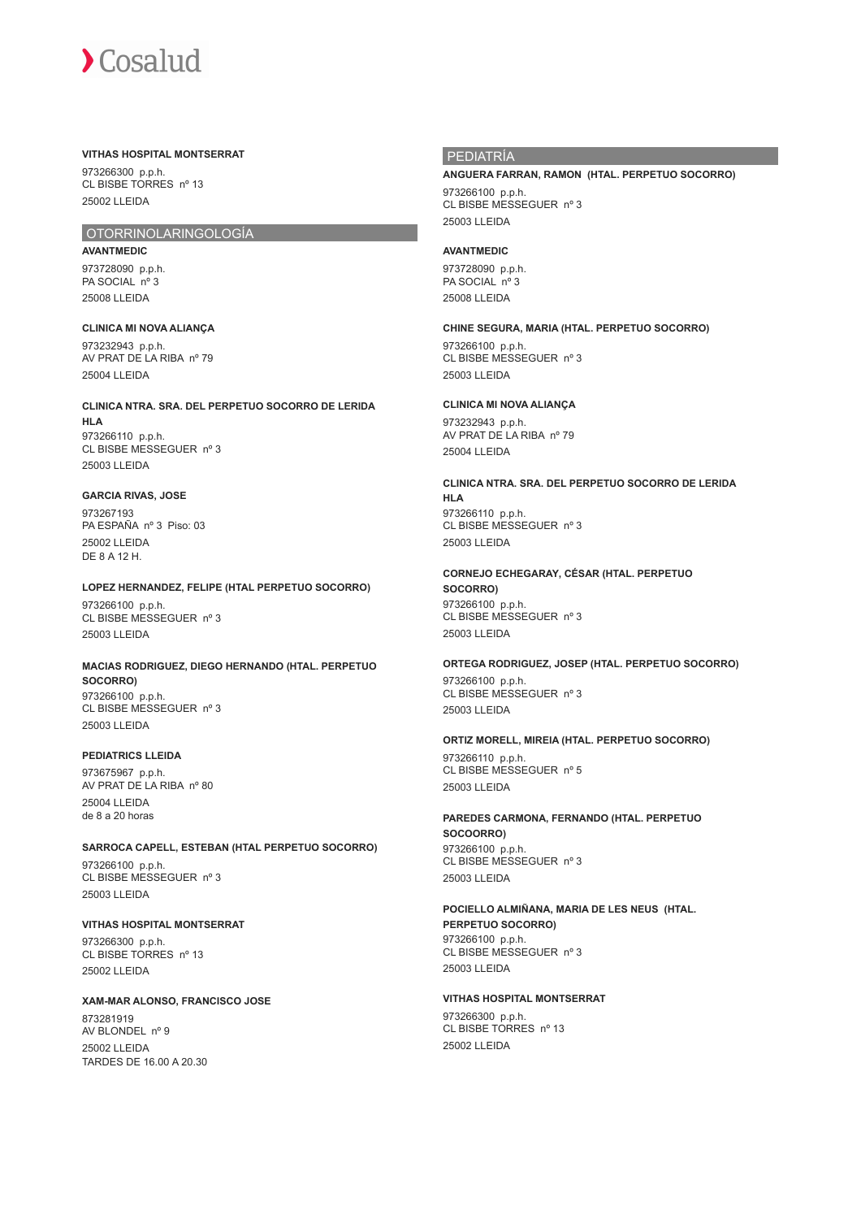#### **VITHAS HOSPITAL MONTSERRAT**

973266300 p.p.h. CL BISBE TORRES nº 13 25002 LLEIDA

## OTORRINOLARINGOLOGÍA

**AVANTMEDIC** 973728090 p.p.h. PA SOCIAL nº 3 25008 LLEIDA

**CLINICA MI NOVA ALIANÇA** 973232943 p.p.h. AV PRAT DE LA RIBA nº 79 25004 LLEIDA

**CLINICA NTRA. SRA. DEL PERPETUO SOCORRO DE LERIDA HLA** 973266110 p.p.h. CL BISBE MESSEGUER nº 3 25003 LLEIDA

#### **GARCIA RIVAS, JOSE** 973267193

PA ESPAÑA nº 3 Piso: 03 25002 LLEIDA DE 8 A 12 H.

## **LOPEZ HERNANDEZ, FELIPE (HTAL PERPETUO SOCORRO)**

973266100 p.p.h. CL BISBE MESSEGUER nº 3 25003 LLEIDA

## **MACIAS RODRIGUEZ, DIEGO HERNANDO (HTAL. PERPETUO SOCORRO)** 973266100 p.p.h.

CL BISBE MESSEGUER nº 3 25003 LLEIDA

## **PEDIATRICS LLEIDA**

973675967 p.p.h. AV PRAT DE LA RIBA nº 80 25004 LLEIDA de 8 a 20 horas

## **SARROCA CAPELL, ESTEBAN (HTAL PERPETUO SOCORRO)**

973266100 p.p.h. CL BISBE MESSEGUER nº 3 25003 LLEIDA

# **VITHAS HOSPITAL MONTSERRAT**

973266300 p.p.h. CL BISBE TORRES nº 13 25002 LLEIDA

## **XAM-MAR ALONSO, FRANCISCO JOSE**

873281919 AV BLONDEL nº 9 25002 LLEIDA TARDES DE 16.00 A 20.30

## PEDIATRÍA

# **ANGUERA FARRAN, RAMON (HTAL. PERPETUO SOCORRO)**

973266100 p.p.h. CL BISBE MESSEGUER nº 3 25003 LLEIDA

## **AVANTMEDIC**

973728090 p.p.h. PA SOCIAL nº 3 25008 LLEIDA

**CHINE SEGURA, MARIA (HTAL. PERPETUO SOCORRO)** 973266100 p.p.h. CL BISBE MESSEGUER nº 3 25003 LLEIDA

## **CLINICA MI NOVA ALIANÇA**

973232943 p.p.h. AV PRAT DE LA RIBA nº 79 25004 LLEIDA

**CLINICA NTRA. SRA. DEL PERPETUO SOCORRO DE LERIDA HLA** 973266110 p.p.h. CL BISBE MESSEGUER nº 3 25003 LLEIDA

**CORNEJO ECHEGARAY, CÉSAR (HTAL. PERPETUO SOCORRO)** 973266100 p.p.h. CL BISBE MESSEGUER nº 3 25003 LLEIDA

**ORTEGA RODRIGUEZ, JOSEP (HTAL. PERPETUO SOCORRO)** 973266100 p.p.h. CL BISBE MESSEGUER nº 3 25003 LLEIDA

## **ORTIZ MORELL, MIREIA (HTAL. PERPETUO SOCORRO)**

973266110 p.p.h. CL BISBE MESSEGUER nº 5 25003 LLEIDA

**PAREDES CARMONA, FERNANDO (HTAL. PERPETUO SOCOORRO)** 973266100 p.p.h. CL BISBE MESSEGUER nº 3 25003 LLEIDA

# **POCIELLO ALMIÑANA, MARIA DE LES NEUS (HTAL. PERPETUO SOCORRO)**

973266100 p.p.h. CL BISBE MESSEGUER nº 3 25003 LLEIDA

## **VITHAS HOSPITAL MONTSERRAT**

973266300 p.p.h. CL BISBE TORRES nº 13 25002 LLEIDA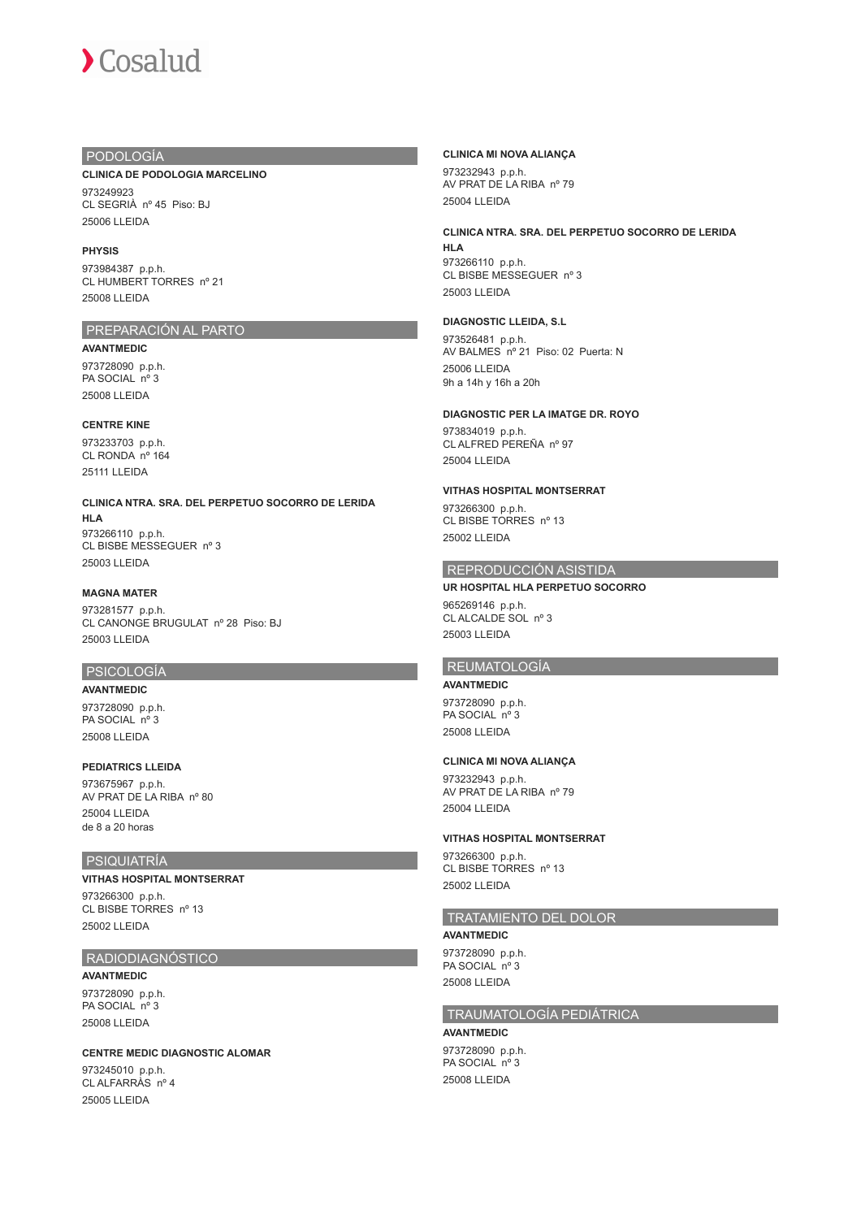## PODOLOGÍA

#### **CLINICA DE PODOLOGIA MARCELINO**

973249923 CL SEGRIÀ nº 45 Piso: BJ 25006 LLEIDA

#### **PHYSIS**

973984387 p.p.h. CL HUMBERT TORRES nº 21 25008 LLEIDA

# PREPARACIÓN AL PARTO

**AVANTMEDIC**

973728090 p.p.h. PA SOCIAL nº 3 25008 LLEIDA

#### **CENTRE KINE**

973233703 p.p.h. CL RONDA nº 164 25111 LLEIDA

**CLINICA NTRA. SRA. DEL PERPETUO SOCORRO DE LERIDA HLA** 973266110 p.p.h. CL BISBE MESSEGUER nº 3

25003 LLEIDA

## **MAGNA MATER**

973281577 p.p.h. CL CANONGE BRUGULAT nº 28 Piso: BJ 25003 LLEIDA

## PSICOLOGÍA

**AVANTMEDIC** 973728090 p.p.h. PA SOCIAL nº 3 25008 LLEIDA

#### **PEDIATRICS LLEIDA**

973675967 p.p.h. AV PRAT DE LA RIBA nº 80 25004 LLEIDA de 8 a 20 horas

## PSIQUIATRÍA

## **VITHAS HOSPITAL MONTSERRAT**

973266300 p.p.h. CL BISBE TORRES nº 13 25002 LLEIDA

## RADIODIAGNÓSTICO

**AVANTMEDIC** 973728090 p.p.h. PA SOCIAL nº 3 25008 LLEIDA

#### **CENTRE MEDIC DIAGNOSTIC ALOMAR**

973245010 p.p.h. CL ALFARRÀS nº 4 25005 LLEIDA

#### **CLINICA MI NOVA ALIANÇA**

973232943 p.p.h. AV PRAT DE LA RIBA nº 79 25004 LLEIDA

## **CLINICA NTRA. SRA. DEL PERPETUO SOCORRO DE LERIDA HLA**

973266110 p.p.h. CL BISBE MESSEGUER nº 3 25003 LLEIDA

#### **DIAGNOSTIC LLEIDA, S.L**

973526481 p.p.h. AV BALMES nº 21 Piso: 02 Puerta: N 25006 LLEIDA 9h a 14h y 16h a 20h

#### **DIAGNOSTIC PER LA IMATGE DR. ROYO**

973834019 p.p.h. CL ALFRED PEREÑA nº 97 25004 LLEIDA

#### **VITHAS HOSPITAL MONTSERRAT**

973266300 p.p.h. CL BISBE TORRES nº 13 25002 LLEIDA

## REPRODUCCIÓN ASISTIDA

#### **UR HOSPITAL HLA PERPETUO SOCORRO**

965269146 p.p.h. CL ALCALDE SOL nº 3 25003 LLEIDA

## **REUMATOLOGÍA**

**AVANTMEDIC** 973728090 p.p.h. PA SOCIAL nº 3 25008 LLEIDA

## **CLINICA MI NOVA ALIANÇA**

973232943 p.p.h. AV PRAT DE LA RIBA nº 79 25004 LLEIDA

#### **VITHAS HOSPITAL MONTSERRAT**

973266300 p.p.h. CL BISBE TORRES nº 13 25002 LLEIDA

## TRATAMIENTO DEL DOLOR

**AVANTMEDIC** 973728090 p.p.h. PA SOCIAL nº 3 25008 LLEIDA

## TRAUMATOLOGÍA PEDIÁTRICA

**AVANTMEDIC**

973728090 p.p.h. PA SOCIAL nº 3 25008 LLEIDA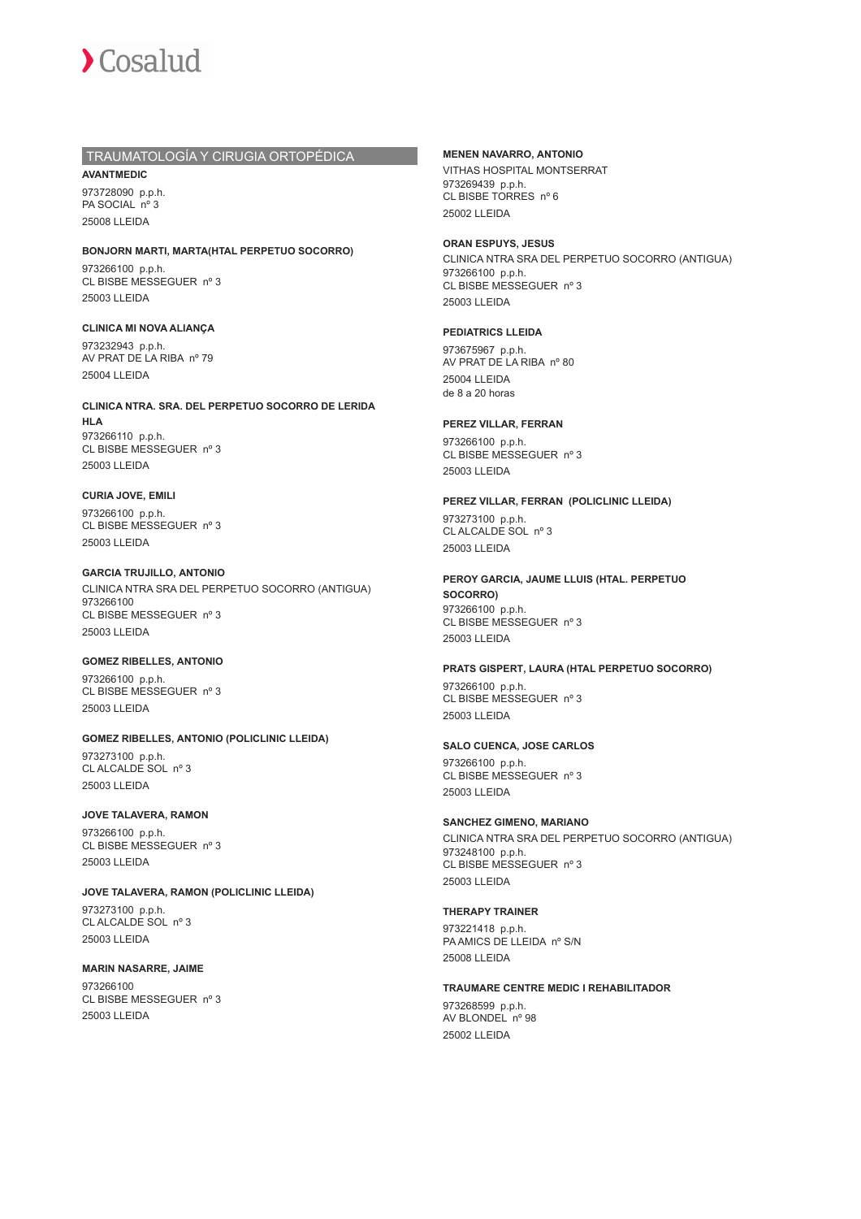

## TRAUMATOLOGÍA Y CIRUGIA ORTOPÉDICA

**AVANTMEDIC** 973728090 p.p.h. PA SOCIAL nº 3 25008 LLEIDA

**BONJORN MARTI, MARTA(HTAL PERPETUO SOCORRO)** 973266100 p.p.h. CL BISBE MESSEGUER nº 3 25003 LLEIDA

**CLINICA MI NOVA ALIANÇA** 973232943 p.p.h. AV PRAT DE LA RIBA nº 79 25004 LLEIDA

**CLINICA NTRA. SRA. DEL PERPETUO SOCORRO DE LERIDA HLA** 973266110 p.p.h. CL BISBE MESSEGUER nº 3 25003 LLEIDA

**CURIA JOVE, EMILI** 973266100 p.p.h. CL BISBE MESSEGUER nº 3 25003 LLEIDA

**GARCIA TRUJILLO, ANTONIO** CLINICA NTRA SRA DEL PERPETUO SOCORRO (ANTIGUA) 973266100 CL BISBE MESSEGUER nº 3 25003 LLEIDA

## **GOMEZ RIBELLES, ANTONIO**

973266100 p.p.h. CL BISBE MESSEGUER nº 3 25003 LLEIDA

**GOMEZ RIBELLES, ANTONIO (POLICLINIC LLEIDA)** 973273100 p.p.h. CL ALCALDE SOL nº 3 25003 LLEIDA

#### **JOVE TALAVERA, RAMON**

973266100 p.p.h. CL BISBE MESSEGUER nº 3 25003 LLEIDA

**JOVE TALAVERA, RAMON (POLICLINIC LLEIDA)**

973273100 p.p.h. CL ALCALDE SOL nº 3 25003 LLEIDA

**MARIN NASARRE, JAIME** 973266100 CL BISBE MESSEGUER nº 3 25003 LLEIDA

## **MENEN NAVARRO, ANTONIO**

VITHAS HOSPITAL MONTSERRAT 973269439 p.p.h. CL BISBE TORRES nº 6 25002 LLEIDA

#### **ORAN ESPUYS, JESUS**

CLINICA NTRA SRA DEL PERPETUO SOCORRO (ANTIGUA) 973266100 p.p.h. CL BISBE MESSEGUER nº 3 25003 LLEIDA

#### **PEDIATRICS LLEIDA**

973675967 p.p.h. AV PRAT DE LA RIBA nº 80 25004 LLEIDA de 8 a 20 horas

#### **PEREZ VILLAR, FERRAN**

973266100 p.p.h. CL BISBE MESSEGUER nº 3 25003 LLEIDA

#### **PEREZ VILLAR, FERRAN (POLICLINIC LLEIDA)**

973273100 p.p.h. CL ALCALDE SOL nº 3 25003 LLEIDA

**PEROY GARCIA, JAUME LLUIS (HTAL. PERPETUO SOCORRO)** 973266100 p.p.h.

CL BISBE MESSEGUER nº 3 25003 LLEIDA

#### **PRATS GISPERT, LAURA (HTAL PERPETUO SOCORRO)**

973266100 p.p.h. CL BISBE MESSEGUER nº 3 25003 LLEIDA

#### **SALO CUENCA, JOSE CARLOS**

973266100 p.p.h. CL BISBE MESSEGUER nº 3 25003 LLEIDA

## **SANCHEZ GIMENO, MARIANO**

CLINICA NTRA SRA DEL PERPETUO SOCORRO (ANTIGUA) 973248100 p.p.h. CL BISBE MESSEGUER nº 3 25003 LLEIDA

## **THERAPY TRAINER**

973221418 p.p.h. PA AMICS DE LLEIDA nº S/N 25008 LLEIDA

#### **TRAUMARE CENTRE MEDIC I REHABILITADOR**

973268599 p.p.h. AV BLONDEL nº 98 25002 LLEIDA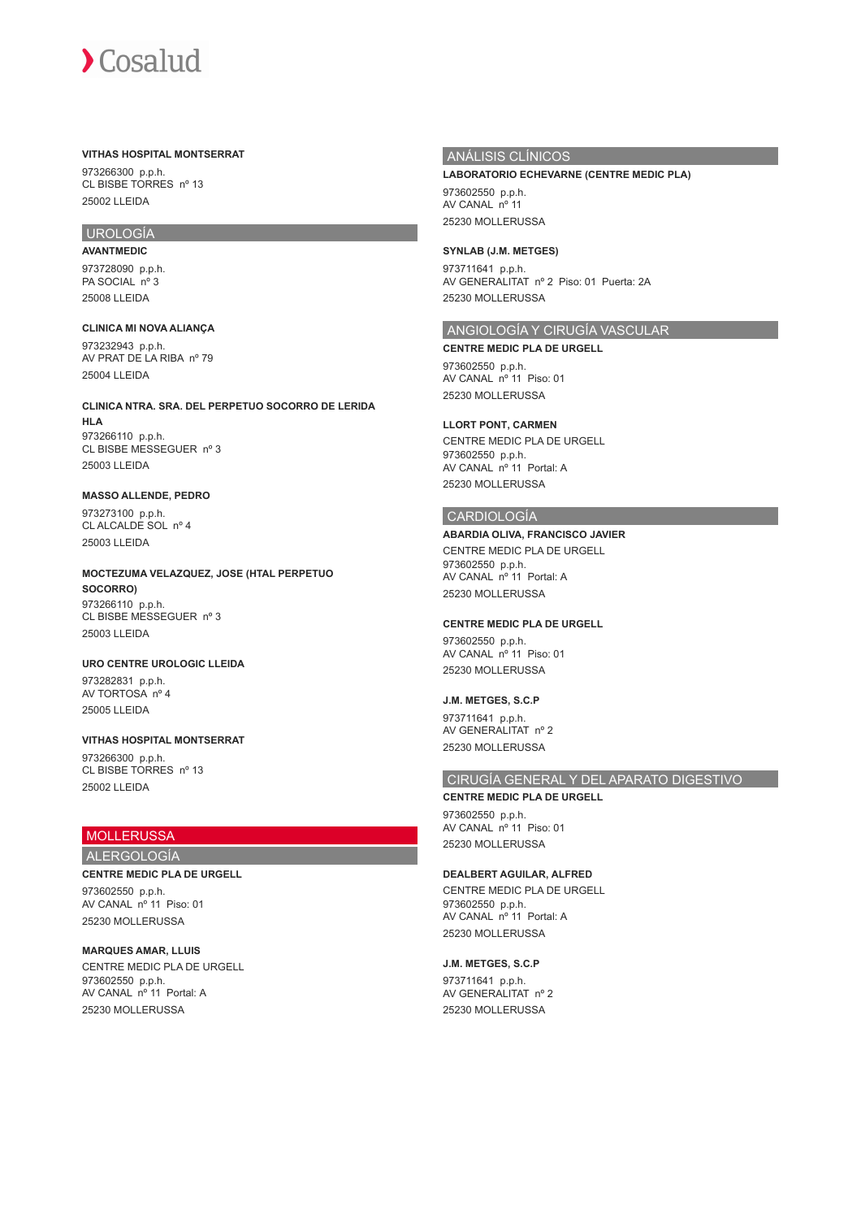## **VITHAS HOSPITAL MONTSERRAT**

973266300 p.p.h. CL BISBE TORRES nº 13 25002 LLEIDA

# UROLOGÍA

**AVANTMEDIC** 973728090 p.p.h. PA SOCIAL nº 3 25008 LLEIDA

**CLINICA MI NOVA ALIANÇA** 973232943 p.p.h. AV PRAT DE LA RIBA nº 79 25004 LLEIDA

**CLINICA NTRA. SRA. DEL PERPETUO SOCORRO DE LERIDA HLA** 973266110 p.p.h. CL BISBE MESSEGUER nº 3 25003 LLEIDA

# **MASSO ALLENDE, PEDRO**

973273100 p.p.h. CL ALCALDE SOL nº 4 25003 LLEIDA

**MOCTEZUMA VELAZQUEZ, JOSE (HTAL PERPETUO SOCORRO)** 973266110 p.p.h. CL BISBE MESSEGUER nº 3 25003 LLEIDA

**URO CENTRE UROLOGIC LLEIDA** 973282831 p.p.h. AV TORTOSA nº 4 25005 LLEIDA

**VITHAS HOSPITAL MONTSERRAT** 973266300 p.p.h. CL BISBE TORRES nº 13 25002 LLEIDA

## MOLLERUSSA

## ALERGOLOGÍA

**CENTRE MEDIC PLA DE URGELL**

973602550 p.p.h. AV CANAL nº 11 Piso: 01 25230 MOLLERUSSA

**MARQUES AMAR, LLUIS** CENTRE MEDIC PLA DE URGELL 973602550 p.p.h. AV CANAL nº 11 Portal: A 25230 MOLLERUSSA

## ANÁLISIS CLÍNICOS

**LABORATORIO ECHEVARNE (CENTRE MEDIC PLA)** 973602550 p.p.h.

AV CANAL nº 11 25230 MOLLERUSSA

#### **SYNLAB (J.M. METGES)**

973711641 p.p.h. AV GENERALITAT nº 2 Piso: 01 Puerta: 2A 25230 MOLLERUSSA

## ANGIOLOGÍA Y CIRUGÍA VASCULAR

**CENTRE MEDIC PLA DE URGELL** 973602550 p.p.h. AV CANAL nº 11 Piso: 01 25230 MOLLERUSSA

#### **LLORT PONT, CARMEN**

CENTRE MEDIC PLA DE URGELL 973602550 p.p.h. AV CANAL nº 11 Portal: A 25230 MOLLERUSSA

## CARDIOLOGÍA

#### **ABARDIA OLIVA, FRANCISCO JAVIER**

CENTRE MEDIC PLA DE URGELL 973602550 p.p.h. AV CANAL nº 11 Portal: A 25230 MOLLERUSSA

#### **CENTRE MEDIC PLA DE URGELL**

973602550 p.p.h. AV CANAL nº 11 Piso: 01 25230 MOLLERUSSA

## **J.M. METGES, S.C.P**

973711641 p.p.h. AV GENERALITAT nº 2 25230 MOLLERUSSA

## CIRUGÍA GENERAL Y DEL APARATO DIGESTIVO

**CENTRE MEDIC PLA DE URGELL** 973602550 p.p.h. AV CANAL nº 11 Piso: 01 25230 MOLLERUSSA

#### **DEALBERT AGUILAR, ALFRED**

CENTRE MEDIC PLA DE URGELL 973602550 p.p.h. AV CANAL nº 11 Portal: A 25230 MOLLERUSSA

#### **J.M. METGES, S.C.P**

973711641 p.p.h. AV GENERALITAT nº 2 25230 MOLLERUSSA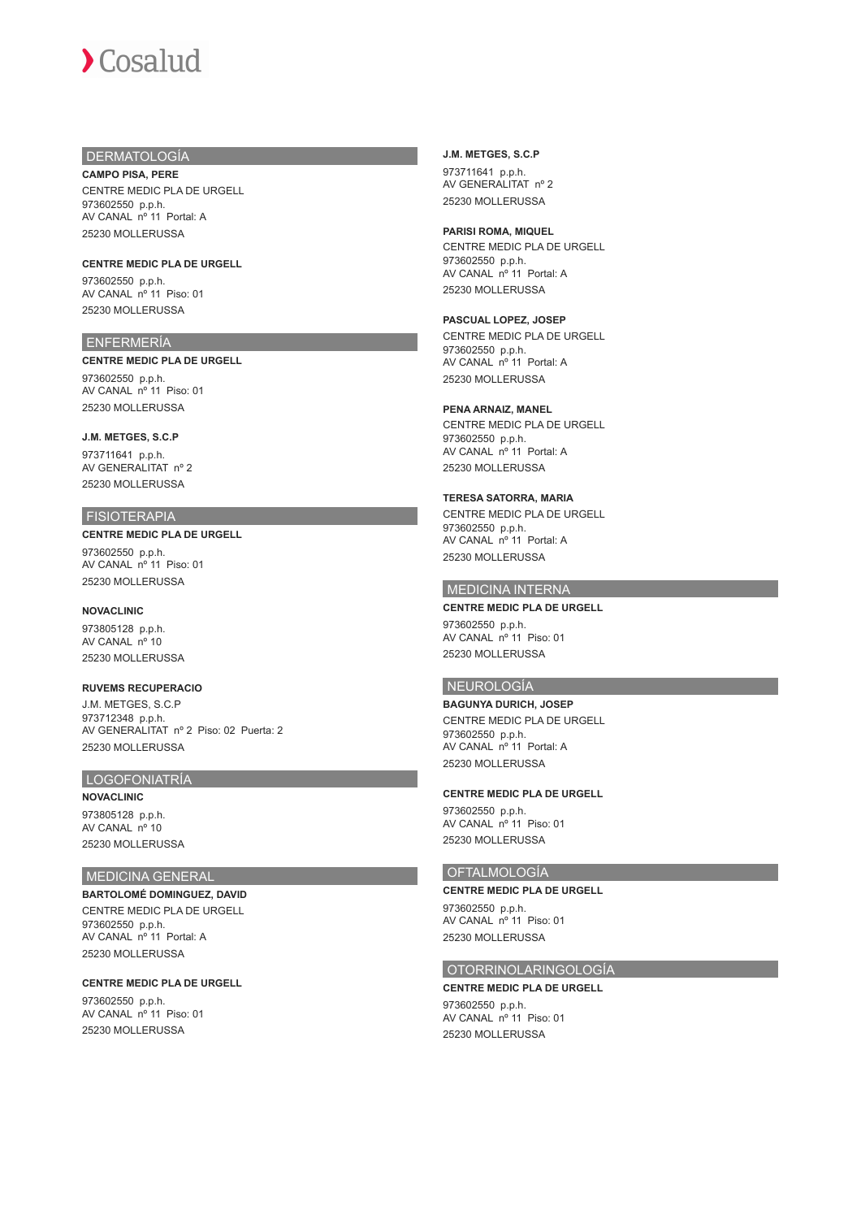## DERMATOLOGÍA

**CAMPO PISA, PERE** CENTRE MEDIC PLA DE URGELL 973602550 p.p.h. AV CANAL nº 11 Portal: A 25230 MOLLERUSSA

# **CENTRE MEDIC PLA DE URGELL**

973602550 p.p.h. AV CANAL nº 11 Piso: 01 25230 MOLLERUSSA

## ENFERMERÍA

#### **CENTRE MEDIC PLA DE URGELL**

973602550 p.p.h. AV CANAL nº 11 Piso: 01 25230 MOLLERUSSA

#### **J.M. METGES, S.C.P**

973711641 p.p.h. AV GENERALITAT nº 2 25230 MOLLERUSSA

## **FISIOTERAPIA**

#### **CENTRE MEDIC PLA DE URGELL** 973602550 p.p.h. AV CANAL nº 11 Piso: 01

25230 MOLLERUSSA

## **NOVACLINIC**

973805128 p.p.h. AV CANAL nº 10 25230 MOLLERUSSA

## **RUVEMS RECUPERACIO**

J.M. METGES, S.C.P 973712348 p.p.h. AV GENERALITAT nº 2 Piso: 02 Puerta: 2 25230 MOLLERUSSA

## LOGOFONIATRÍA

**NOVACLINIC** 973805128 p.p.h. AV CANAL nº 10 25230 MOLLERUSSA

## MEDICINA GENERAL

**BARTOLOMÉ DOMINGUEZ, DAVID** CENTRE MEDIC PLA DE URGELL 973602550 p.p.h. AV CANAL nº 11 Portal: A 25230 MOLLERUSSA

#### **CENTRE MEDIC PLA DE URGELL**

973602550 p.p.h. AV CANAL nº 11 Piso: 01 25230 MOLLERUSSA

## **J.M. METGES, S.C.P** 973711641 p.p.h. AV GENERALITAT nº 2 25230 MOLLERUSSA

#### **PARISI ROMA, MIQUEL** CENTRE MEDIC PLA DE URGELL 973602550 p.p.h. AV CANAL nº 11 Portal: A 25230 MOLLERUSSA

#### **PASCUAL LOPEZ, JOSEP**

CENTRE MEDIC PLA DE URGELL 973602550 p.p.h. AV CANAL nº 11 Portal: A 25230 MOLLERUSSA

#### **PENA ARNAIZ, MANEL**

CENTRE MEDIC PLA DE URGELL 973602550 p.p.h. AV CANAL nº 11 Portal: A 25230 MOLLERUSSA

#### **TERESA SATORRA, MARIA**

CENTRE MEDIC PLA DE URGELL 973602550 p.p.h. AV CANAL nº 11 Portal: A 25230 MOLLERUSSA

## MEDICINA INTERNA

**CENTRE MEDIC PLA DE URGELL** 973602550 p.p.h. AV CANAL nº 11 Piso: 01 25230 MOLLERUSSA

## NEUROLOGÍA

**BAGUNYA DURICH, JOSEP** CENTRE MEDIC PLA DE URGELL 973602550 p.p.h. AV CANAL nº 11 Portal: A 25230 MOLLERUSSA

#### **CENTRE MEDIC PLA DE URGELL**

973602550 p.p.h. AV CANAL nº 11 Piso: 01 25230 MOLLERUSSA

## OFTALMOLOGÍA

**CENTRE MEDIC PLA DE URGELL** 973602550 p.p.h. AV CANAL nº 11 Piso: 01 25230 MOLLERUSSA

## OTORRINOLARINGOLOGÍA

**CENTRE MEDIC PLA DE URGELL** 973602550 p.p.h. AV CANAL nº 11 Piso: 01 25230 MOLLERUSSA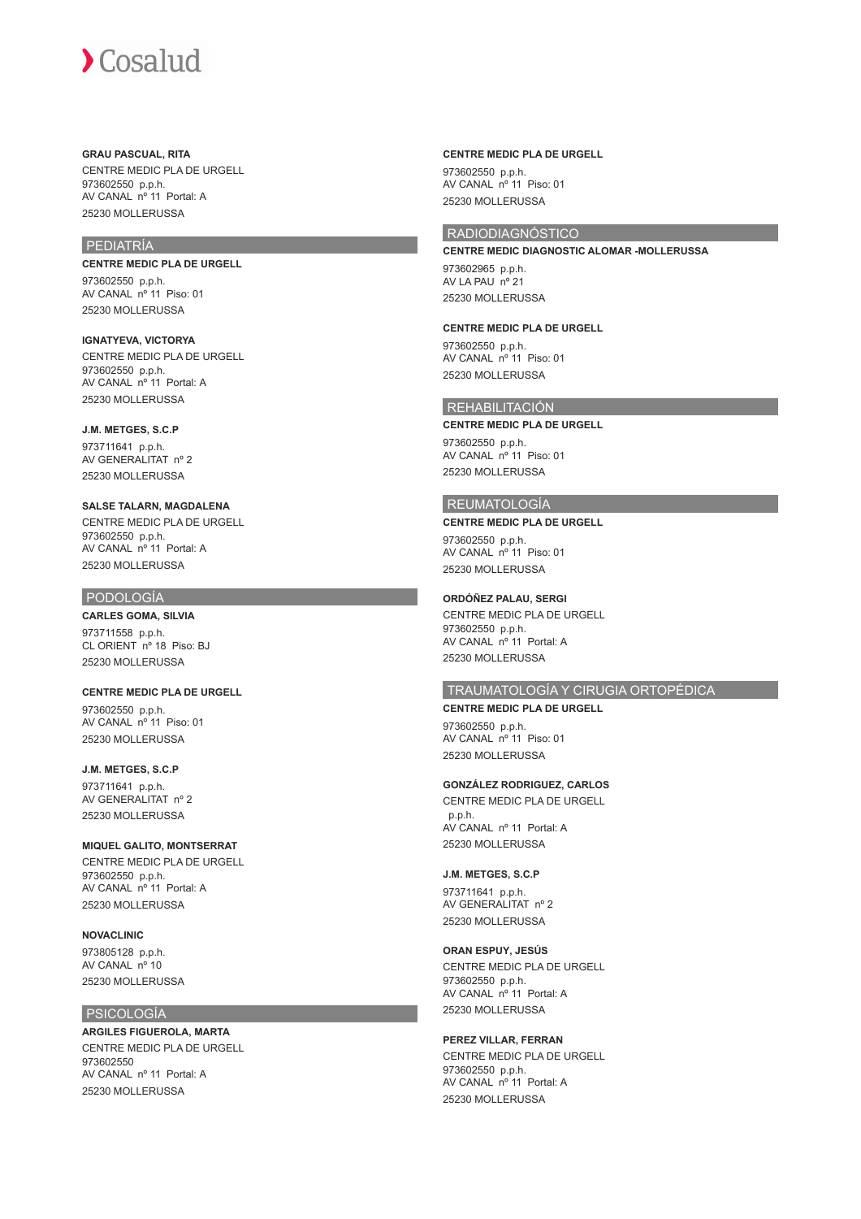#### **GRAU PASCUAL, RITA**

CENTRE MEDIC PLA DE URGELL 973602550 p.p.h. AV CANAL nº 11 Portal: A 25230 MOLLERUSSA

## PEDIATRÍA

**CENTRE MEDIC PLA DE URGELL**

973602550 p.p.h. AV CANAL nº 11 Piso: 01 25230 MOLLERUSSA

**IGNATYEVA, VICTORYA** CENTRE MEDIC PLA DE URGELL 973602550 p.p.h. AV CANAL nº 11 Portal: A 25230 MOLLERUSSA

#### **J.M. METGES, S.C.P**

973711641 p.p.h. AV GENERALITAT nº 2 25230 MOLLERUSSA

**SALSE TALARN, MAGDALENA** CENTRE MEDIC PLA DE URGELL 973602550 p.p.h. AV CANAL nº 11 Portal: A 25230 MOLLERUSSA

#### PODOLOGÍA

**CARLES GOMA, SILVIA**

973711558 p.p.h. CL ORIENT nº 18 Piso: BJ 25230 MOLLERUSSA

**CENTRE MEDIC PLA DE URGELL**

973602550 p.p.h. AV CANAL nº 11 Piso: 01 25230 MOLLERUSSA

## **J.M. METGES, S.C.P**

973711641 p.p.h. AV GENERALITAT nº 2 25230 MOLLERUSSA

#### **MIQUEL GALITO, MONTSERRAT**

CENTRE MEDIC PLA DE URGELL 973602550 p.p.h. AV CANAL nº 11 Portal: A 25230 MOLLERUSSA

#### **NOVACLINIC**

973805128 p.p.h. AV CANAL nº 10 25230 MOLLERUSSA

## PSICOLOGÍA

**ARGILES FIGUEROLA, MARTA** CENTRE MEDIC PLA DE URGELL 973602550 AV CANAL nº 11 Portal: A 25230 MOLLERUSSA

#### **CENTRE MEDIC PLA DE URGELL**

973602550 p.p.h. AV CANAL nº 11 Piso: 01 25230 MOLLERUSSA

## RADIODIAGNÓSTICO

**CENTRE MEDIC DIAGNOSTIC ALOMAR -MOLLERUSSA** 973602965 p.p.h. AV LA PAU nº 21 25230 MOLLERUSSA

#### **CENTRE MEDIC PLA DE URGELL**

973602550 p.p.h. AV CANAL nº 11 Piso: 01 25230 MOLLERUSSA

## REHABILITACIÓN

#### **CENTRE MEDIC PLA DE URGELL**

973602550 p.p.h. AV CANAL nº 11 Piso: 01 25230 MOLLERUSSA

#### REUMATOLOGÍA

#### **CENTRE MEDIC PLA DE URGELL**

973602550 p.p.h. AV CANAL nº 11 Piso: 01 25230 MOLLERUSSA

## **ORDÓÑEZ PALAU, SERGI**

CENTRE MEDIC PLA DE URGELL 973602550 p.p.h. AV CANAL nº 11 Portal: A 25230 MOLLERUSSA

## TRAUMATOLOGÍA Y CIRUGIA ORTOPÉDICA

**CENTRE MEDIC PLA DE URGELL** 973602550 p.p.h. AV CANAL nº 11 Piso: 01 25230 MOLLERUSSA

## **GONZÁLEZ RODRIGUEZ, CARLOS**

CENTRE MEDIC PLA DE URGELL p.p.h. AV CANAL nº 11 Portal: A 25230 MOLLERUSSA

#### **J.M. METGES, S.C.P**

973711641 p.p.h. AV GENERALITAT nº 2 25230 MOLLERUSSA

#### **ORAN ESPUY, JESÚS**

CENTRE MEDIC PLA DE URGELL 973602550 p.p.h. AV CANAL nº 11 Portal: A 25230 MOLLERUSSA

## **PEREZ VILLAR, FERRAN**

CENTRE MEDIC PLA DE URGELL 973602550 p.p.h. AV CANAL nº 11 Portal: A 25230 MOLLERUSSA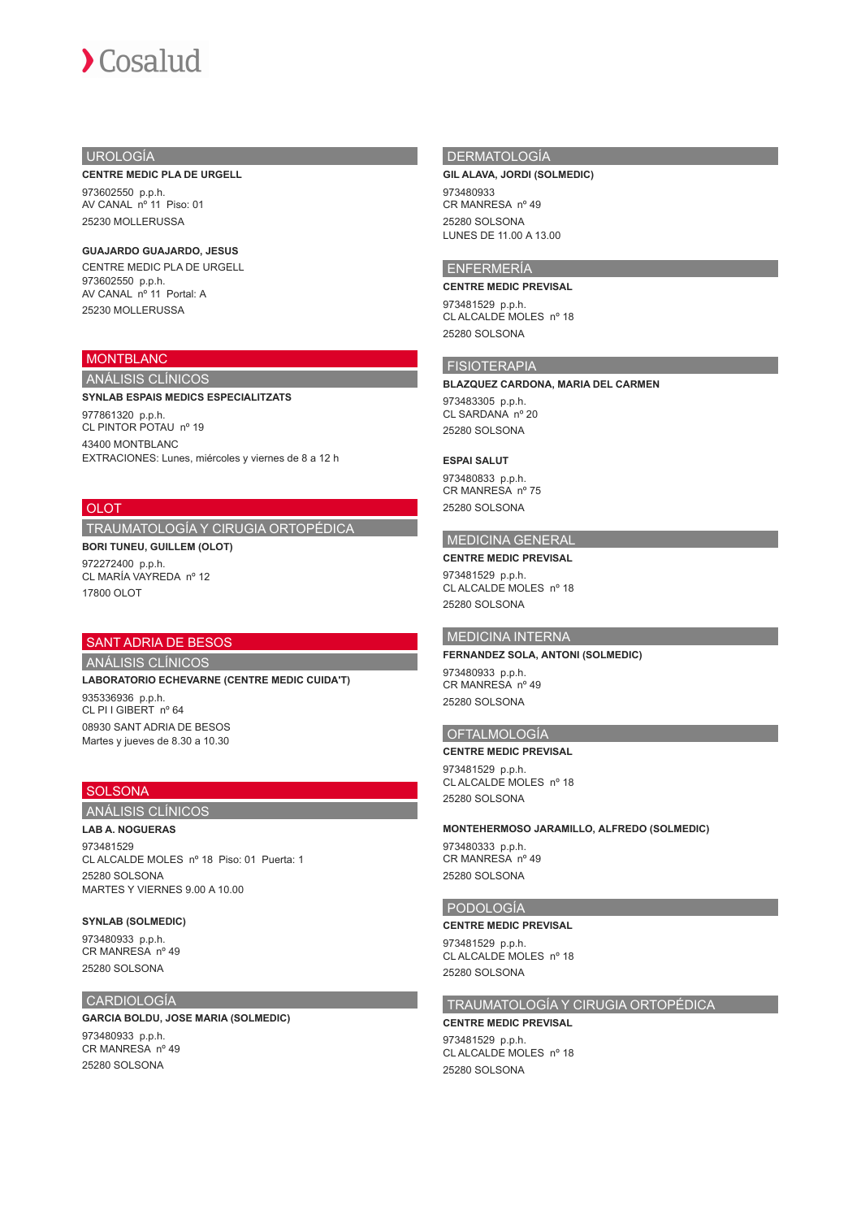## UROLOGÍA

#### **CENTRE MEDIC PLA DE URGELL**

973602550 p.p.h. AV CANAL nº 11 Piso: 01 25230 MOLLERUSSA

## **GUAJARDO GUAJARDO, JESUS**

CENTRE MEDIC PLA DE URGELL 973602550 p.p.h. AV CANAL nº 11 Portal: A 25230 MOLLERUSSA

## MONTBLANC

# ANÁLISIS CLÍNICOS

**SYNLAB ESPAIS MEDICS ESPECIALITZATS** 977861320 p.p.h. CL PINTOR POTAU nº 19

43400 MONTBLANC EXTRACIONES: Lunes, miércoles y viernes de 8 a 12 h

## **OLOT**

## TRAUMATOLOGÍA Y CIRUGIA ORTOPÉDICA

**BORI TUNEU, GUILLEM (OLOT)** 972272400 p.p.h. CL MARÍA VAYREDA nº 12 17800 OLOT

## SANT ADRIA DE BESOS

ANÁLISIS CLÍNICOS

**LABORATORIO ECHEVARNE (CENTRE MEDIC CUIDA'T)**

935336936 p.p.h. CL PI I GIBERT nº 64 08930 SANT ADRIA DE BESOS Martes y jueves de 8.30 a 10.30

## **SOLSONA**

## ANÁLISIS CLÍNICOS

**LAB A. NOGUERAS** 973481529 CL ALCALDE MOLES nº 18 Piso: 01 Puerta: 1 25280 SOLSONA

MARTES Y VIERNES 9.00 A 10.00

#### **SYNLAB (SOLMEDIC)**

973480933 p.p.h. CR MANRESA nº 49 25280 SOLSONA

## CARDIOLOGÍA

#### **GARCIA BOLDU, JOSE MARIA (SOLMEDIC)**

973480933 p.p.h. CR MANRESA nº 49 25280 SOLSONA

## DERMATOLOGÍA

#### **GIL ALAVA, JORDI (SOLMEDIC)**

973480933 CR MANRESA nº 49 25280 SOLSONA LUNES DE 11.00 A 13.00

## ENFERMERÍA

#### **CENTRE MEDIC PREVISAL**

973481529 p.p.h. CL ALCALDE MOLES nº 18 25280 SOLSONA

## FISIOTERAPIA

**BLAZQUEZ CARDONA, MARIA DEL CARMEN**

973483305 p.p.h. CL SARDANA nº 20 25280 SOLSONA

## **ESPAI SALUT**

973480833 p.p.h. CR MANRESA nº 75 25280 SOLSONA

#### MEDICINA GENERAL

**CENTRE MEDIC PREVISAL** 973481529 p.p.h. CL ALCALDE MOLES nº 18 25280 SOLSONA

#### MEDICINA INTERNA

**FERNANDEZ SOLA, ANTONI (SOLMEDIC)** 973480933 p.p.h.

CR MANRESA nº 49 25280 SOLSONA

## OFTALMOLOGÍA

**CENTRE MEDIC PREVISAL**

973481529 p.p.h. CL ALCALDE MOLES nº 18 25280 SOLSONA

#### **MONTEHERMOSO JARAMILLO, ALFREDO (SOLMEDIC)**

973480333 p.p.h. CR MANRESA nº 49 25280 SOLSONA

#### PODOLOGÍA

**CENTRE MEDIC PREVISAL** 973481529 p.p.h.

CL ALCALDE MOLES nº 18 25280 SOLSONA

## TRAUMATOLOGÍA Y CIRUGIA ORTOPÉDICA

#### **CENTRE MEDIC PREVISAL**

973481529 p.p.h. CL ALCALDE MOLES nº 18 25280 SOLSONA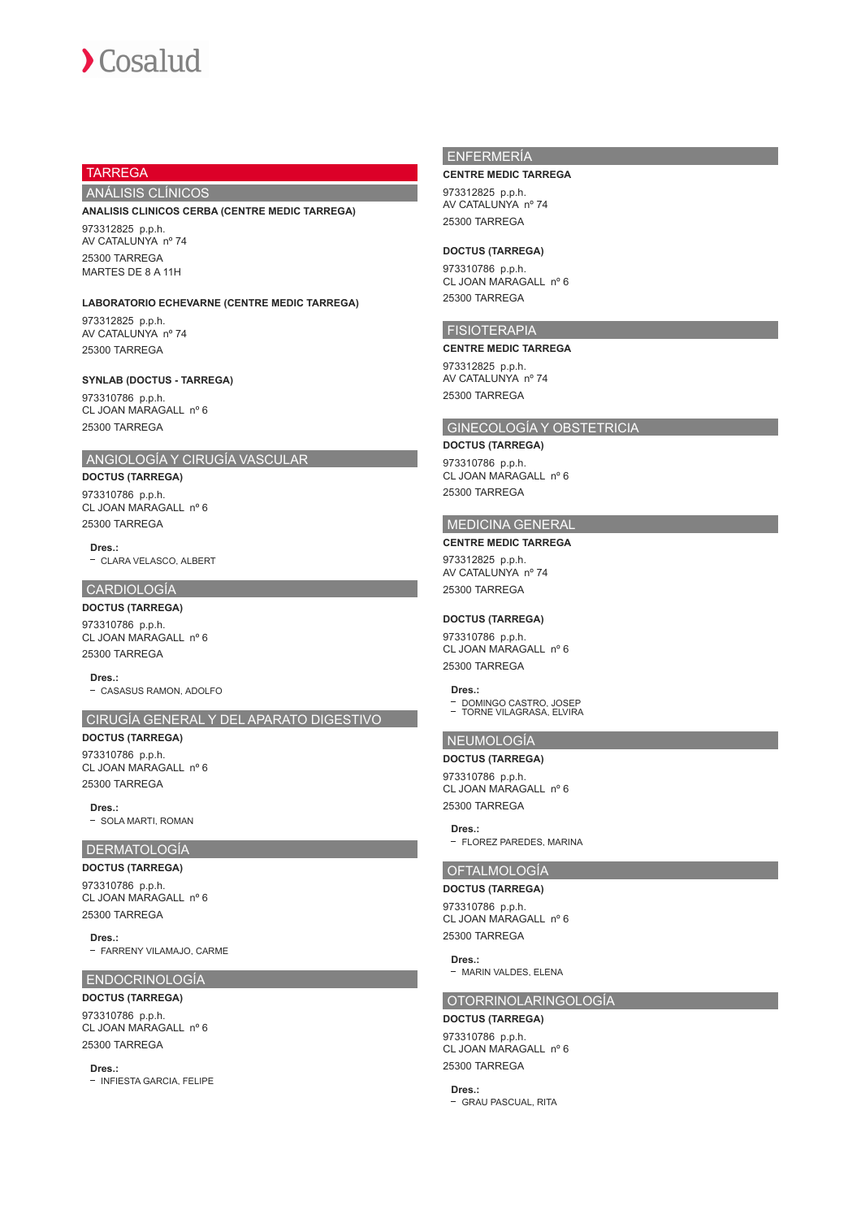

## TARREGA

## ANÁLISIS CLÍNICOS

#### **ANALISIS CLINICOS CERBA (CENTRE MEDIC TARREGA)**

973312825 p.p.h. AV CATALUNYA nº 74 25300 TARREGA MARTES DE 8 A 11H

# **LABORATORIO ECHEVARNE (CENTRE MEDIC TARREGA)**

973312825 p.p.h. AV CATALUNYA nº 74 25300 TARREGA

#### **SYNLAB (DOCTUS - TARREGA)**

973310786 p.p.h. CL JOAN MARAGALL nº 6 25300 TARREGA

## ANGIOLOGÍA Y CIRUGÍA VASCULAR

**DOCTUS (TARREGA)** 973310786 p.p.h. CL JOAN MARAGALL nº 6 25300 TARREGA

**Dres.:** CLARA VELASCO, ALBERT

## CARDIOLOGÍA

**DOCTUS (TARREGA)** 973310786 p.p.h. CL JOAN MARAGALL nº 6 25300 TARREGA

**Dres.:** - CASASUS RAMON, ADOLFO

## CIRUGÍA GENERAL Y DEL APARATO DIGESTIVO

**DOCTUS (TARREGA)** 973310786 p.p.h. CL JOAN MARAGALL nº 6 25300 TARREGA

**Dres.:**

- SOLA MARTI, ROMAN

#### DERMATOLOGÍA

**DOCTUS (TARREGA)** 973310786 p.p.h. CL JOAN MARAGALL nº 6 25300 TARREGA

**Dres.:** - FARRENY VILAMAJO, CARME

#### ENDOCRINOLOGÍA

**DOCTUS (TARREGA)** 973310786 p.p.h. CL JOAN MARAGALL nº 6 25300 TARREGA

**Dres.:**

- INFIESTA GARCIA, FELIPE

## ENFERMERÍA

#### **CENTRE MEDIC TARREGA**

973312825 p.p.h. AV CATALUNYA nº 74 25300 TARREGA

#### **DOCTUS (TARREGA)**

973310786 p.p.h. CL JOAN MARAGALL nº 6 25300 TARREGA

## FISIOTERAPIA

**CENTRE MEDIC TARREGA**

973312825 p.p.h. AV CATALUNYA nº 74 25300 TARREGA

## GINECOLOGÍA Y OBSTETRICIA

**DOCTUS (TARREGA)**

973310786 p.p.h. CL JOAN MARAGALL nº 6 25300 TARREGA

#### MEDICINA GENERAL **CENTRE MEDIC TARREGA**

# 973312825 p.p.h. AV CATALUNYA nº 74

25300 TARREGA

## **DOCTUS (TARREGA)**

973310786 p.p.h. CL JOAN MARAGALL nº 6 25300 TARREGA

#### **Dres.:**

DOMINGO CASTRO, JOSEP TORNE VILAGRASA, ELVIRA

## NEUMOLOGÍA

**DOCTUS (TARREGA)** 973310786 p.p.h. CL JOAN MARAGALL nº 6 25300 TARREGA

**Dres.:** - FLOREZ PAREDES, MARINA

#### OFTALMOLOGÍA

## **DOCTUS (TARREGA)**

973310786 p.p.h. CL JOAN MARAGALL nº 6 25300 TARREGA

**Dres.:**

## - MARIN VALDES, ELENA

## OTORRINOLARINGOLOGÍA

#### **DOCTUS (TARREGA)**

973310786 p.p.h. CL JOAN MARAGALL nº 6 25300 TARREGA

**Dres.:** - GRAU PASCUAL, RITA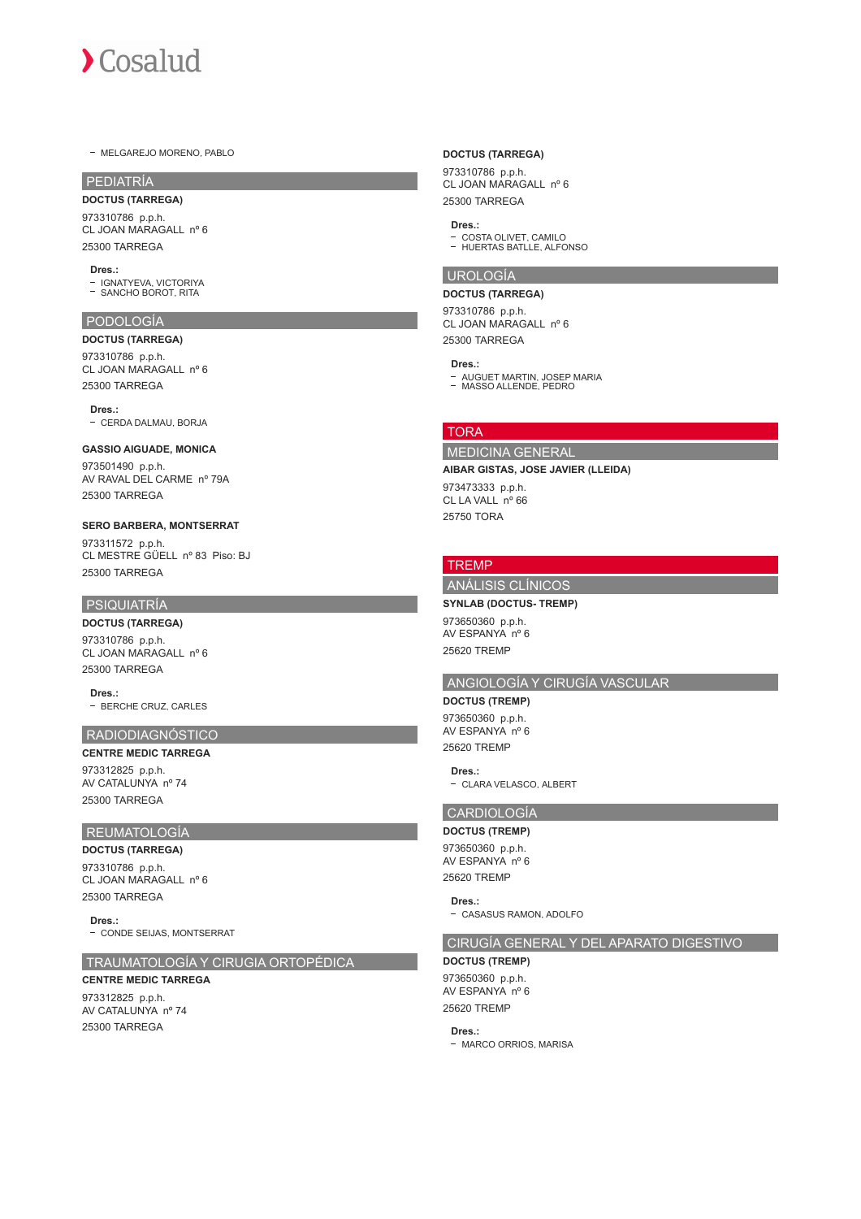

- MELGAREJO MORENO, PABLO

## PEDIATRÍA

**DOCTUS (TARREGA)** 973310786 p.p.h. CL JOAN MARAGALL nº 6 25300 TARREGA

#### **Dres.:**

IGNATYEVA, VICTORIYA SANCHO BOROT, RITA

#### PODOLOGÍA

#### **DOCTUS (TARREGA)**

973310786 p.p.h. CL JOAN MARAGALL nº 6 25300 TARREGA

## **Dres.:**

- CERDA DALMAU, BORJA

#### **GASSIO AIGUADE, MONICA**

973501490 p.p.h. AV RAVAL DEL CARME nº 79A 25300 TARREGA

#### **SERO BARBERA, MONTSERRAT**

973311572 p.p.h. CL MESTRE GÜELL nº 83 Piso: BJ 25300 TARREGA

#### PSIQUIATRÍA

## **DOCTUS (TARREGA)**

973310786 p.p.h. CL JOAN MARAGALL nº 6 25300 TARREGA

**Dres.:** - BERCHE CRUZ, CARLES

# RADIODIAGNÓSTICO

**CENTRE MEDIC TARREGA** 973312825 p.p.h. AV CATALUNYA nº 74 25300 TARREGA

## REUMATOLOGÍA

**DOCTUS (TARREGA)** 973310786 p.p.h. CL JOAN MARAGALL nº 6 25300 TARREGA

**Dres.:** - CONDE SEIJAS, MONTSERRAT

#### TRAUMATOLOGÍA Y CIRUGIA ORTOPÉDICA

## **CENTRE MEDIC TARREGA** 973312825 p.p.h.

AV CATALUNYA nº 74 25300 TARREGA

#### **DOCTUS (TARREGA)**

973310786 p.p.h. CL JOAN MARAGALL nº 6 25300 TARREGA

## **Dres.:**

COSTA OLIVET, CAMILO HUERTAS BATLLE, ALFONSO

#### UROLOGÍA

#### **DOCTUS (TARREGA)**

973310786 p.p.h. CL JOAN MARAGALL nº 6 25300 TARREGA

#### **Dres.:**

AUGUET MARTIN, JOSEP MARIA MASSO ALLENDE, PEDRO

## TORA

# MEDICINA GENERAL

#### **AIBAR GISTAS, JOSE JAVIER (LLEIDA)**

973473333 p.p.h. CL LA VALL nº 66 25750 TORA

## **TRFMP**

## ANÁLISIS CLÍNICOS **SYNLAB (DOCTUS- TREMP)**

973650360 p.p.h. AV ESPANYA nº 6 25620 TREMP

# ANGIOLOGÍA Y CIRUGÍA VASCULAR

**DOCTUS (TREMP)** 973650360 p.p.h. AV ESPANYA nº 6 25620 TREMP

**Dres.:** - CLARA VELASCO, ALBERT

#### CARDIOLOGÍA **DOCTUS (TREMP)**

973650360 p.p.h. AV ESPANYA nº 6 25620 TREMP

#### **Dres.:**

- CASASUS RAMON, ADOLFO

## CIRUGÍA GENERAL Y DEL APARATO DIGESTIVO

# **DOCTUS (TREMP)**

973650360 p.p.h. AV ESPANYA nº 6 25620 TREMP

#### **Dres.:**

- MARCO ORRIOS, MARISA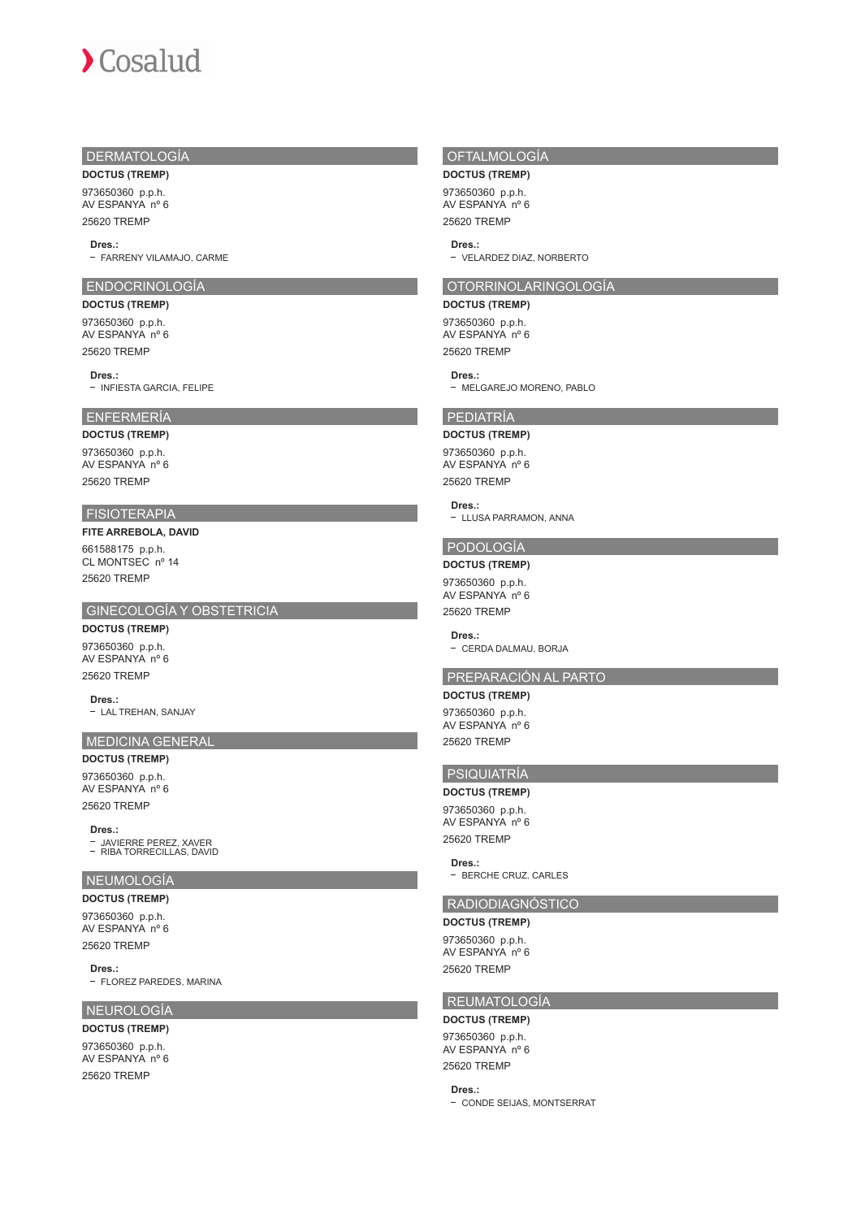## DERMATOLOGÍA

**DOCTUS (TREMP)**

973650360 p.p.h. AV ESPANYA nº 6 25620 TREMP

#### **Dres.:**

- FARRENY VILAMAJO, CARME

## ENDOCRINOLOGÍA

**DOCTUS (TREMP)** 973650360 p.p.h. AV ESPANYA nº 6 25620 TREMP

#### **Dres.:**

- INFIESTA GARCIA, FELIPE

## ENFERMERÍA

**DOCTUS (TREMP)** 973650360 p.p.h. AV ESPANYA nº 6 25620 TREMP

## FISIOTERAPIA

**FITE ARREBOLA, DAVID** 661588175 p.p.h. CL MONTSEC nº 14

25620 TREMP

## GINECOLOGÍA Y OBSTETRICIA

**DOCTUS (TREMP)** 973650360 p.p.h. AV ESPANYA nº 6 25620 TREMP

**Dres.:** - LAL TREHAN, SANJAY

# MEDICINA GENERAL

**DOCTUS (TREMP)** 973650360 p.p.h.

AV ESPANYA nº 6 25620 TREMP

#### **Dres.:**

JAVIERRE PEREZ, XAVER RIBA TORRECILLAS, DAVID

## NEUMOLOGÍA

**DOCTUS (TREMP)** 973650360 p.p.h. AV ESPANYA nº 6

25620 TREMP

**Dres.:**

- FLOREZ PAREDES, MARINA

## NEUROLOGÍA

**DOCTUS (TREMP)** 973650360 p.p.h. AV ESPANYA nº 6 25620 TREMP

## OFTALMOLOGÍA

**DOCTUS (TREMP)**

973650360 p.p.h. AV ESPANYA nº 6 25620 TREMP

#### **Dres.:**

VELARDEZ DIAZ, NORBERTO

## OTORRINOLARINGOLOGÍA

**DOCTUS (TREMP)**

973650360 p.p.h. AV ESPANYA nº 6 25620 TREMP

#### **Dres.:**

- MELGAREJO MORENO, PABLO

#### PEDIATRÍA

## **DOCTUS (TREMP)**

973650360 p.p.h. AV ESPANYA nº 6 25620 TREMP

## **Dres.:**

- LLUSA PARRAMON, ANNA

## PODOLOGÍA

**DOCTUS (TREMP)**

973650360 p.p.h. AV ESPANYA nº 6 25620 TREMP

#### **Dres.:**

- CERDA DALMAU, BORJA

## PREPARACIÓN AL PARTO

**DOCTUS (TREMP)**

973650360 p.p.h. AV ESPANYA nº 6 25620 TREMP

# PSIQUIATRÍA

## **DOCTUS (TREMP)**

973650360 p.p.h. AV ESPANYA nº 6 25620 TREMP

**Dres.:**

- BERCHE CRUZ, CARLES

# RADIODIAGNÓSTICO

**DOCTUS (TREMP)** 973650360 p.p.h. AV ESPANYA nº 6 25620 TREMP

## REUMATOLOGÍA

## **DOCTUS (TREMP)**

973650360 p.p.h. AV ESPANYA nº 6 25620 TREMP

# **Dres.:**

- CONDE SEIJAS, MONTSERRAT